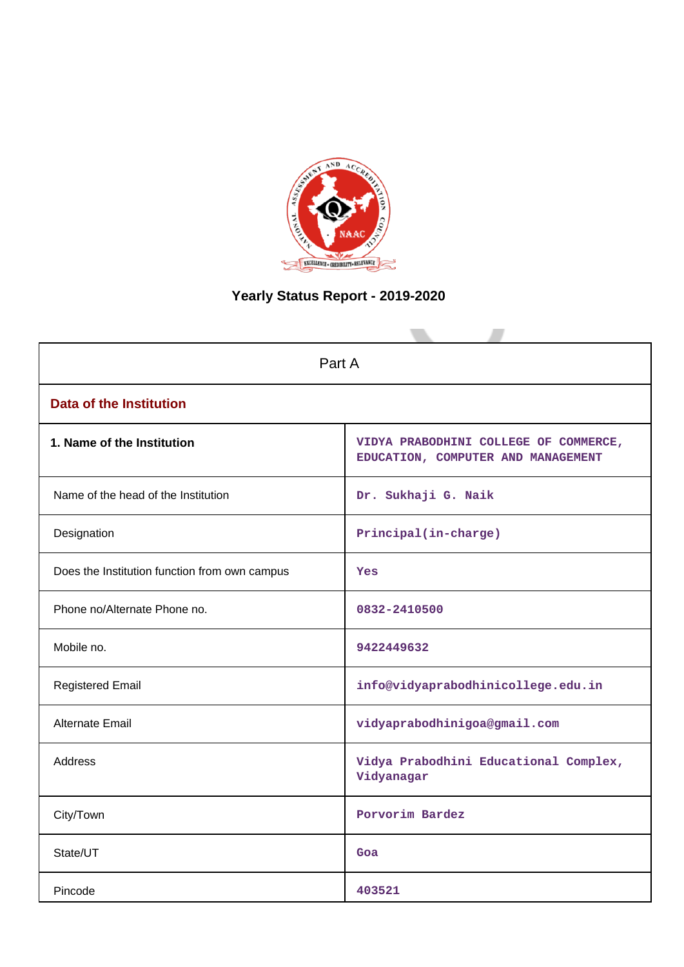

# **Yearly Status Report - 2019-2020**

| Part A                                        |                                                                             |  |  |  |  |  |
|-----------------------------------------------|-----------------------------------------------------------------------------|--|--|--|--|--|
| <b>Data of the Institution</b>                |                                                                             |  |  |  |  |  |
| 1. Name of the Institution                    | VIDYA PRABODHINI COLLEGE OF COMMERCE,<br>EDUCATION, COMPUTER AND MANAGEMENT |  |  |  |  |  |
| Name of the head of the Institution           | Dr. Sukhaji G. Naik                                                         |  |  |  |  |  |
| Designation                                   | Principal(in-charge)                                                        |  |  |  |  |  |
| Does the Institution function from own campus | <b>Yes</b>                                                                  |  |  |  |  |  |
| Phone no/Alternate Phone no.                  | 0832-2410500                                                                |  |  |  |  |  |
| Mobile no.                                    | 9422449632                                                                  |  |  |  |  |  |
| <b>Registered Email</b>                       | info@vidyaprabodhinicollege.edu.in                                          |  |  |  |  |  |
| <b>Alternate Email</b>                        | vidyaprabodhinigoa@gmail.com                                                |  |  |  |  |  |
| <b>Address</b>                                | Vidya Prabodhini Educational Complex,<br>Vidyanagar                         |  |  |  |  |  |
| City/Town                                     | Porvorim Bardez                                                             |  |  |  |  |  |
| State/UT                                      | Goa                                                                         |  |  |  |  |  |
| Pincode                                       | 403521                                                                      |  |  |  |  |  |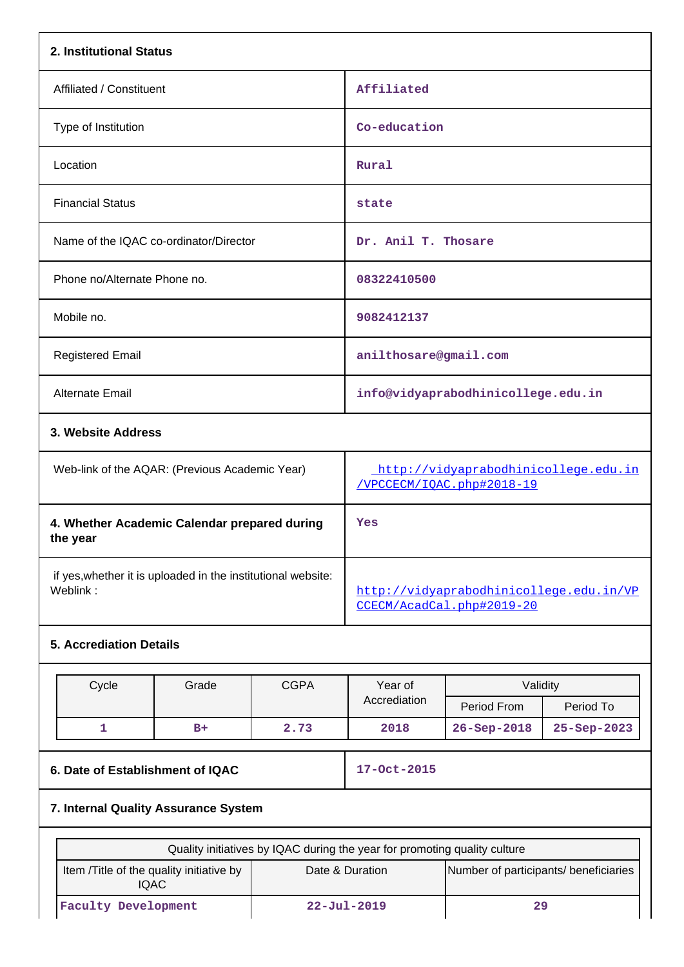| 2. Institutional Status                                                  |                                                                   |  |  |  |  |
|--------------------------------------------------------------------------|-------------------------------------------------------------------|--|--|--|--|
| Affiliated / Constituent                                                 | Affiliated                                                        |  |  |  |  |
| Type of Institution                                                      | Co-education                                                      |  |  |  |  |
| Location                                                                 | Rural                                                             |  |  |  |  |
| <b>Financial Status</b>                                                  | state                                                             |  |  |  |  |
| Name of the IQAC co-ordinator/Director                                   | Dr. Anil T. Thosare                                               |  |  |  |  |
| Phone no/Alternate Phone no.                                             | 08322410500                                                       |  |  |  |  |
| Mobile no.                                                               | 9082412137                                                        |  |  |  |  |
| <b>Registered Email</b>                                                  | anilthosare@gmail.com                                             |  |  |  |  |
| Alternate Email                                                          | info@vidyaprabodhinicollege.edu.in                                |  |  |  |  |
| 3. Website Address                                                       |                                                                   |  |  |  |  |
| Web-link of the AQAR: (Previous Academic Year)                           | http://vidyaprabodhinicollege.edu.in<br>/VPCCECM/IQAC.php#2018-19 |  |  |  |  |
| 4. Whether Academic Calendar prepared during<br>the year                 | Yes                                                               |  |  |  |  |
| if yes, whether it is uploaded in the institutional website:<br>Weblink: | http://vidyaprabodhinicollege.edu.in/VP                           |  |  |  |  |

# **5. Accrediation Details**

| Cycle | Grade | <b>CGPA</b> | Validity<br>Year of |                   |                   |  |
|-------|-------|-------------|---------------------|-------------------|-------------------|--|
|       |       |             | Accrediation        | Period From       | Period To         |  |
|       | $B+$  | 2.73        | 2018                | $26 - Sep - 2018$ | $25 - Sep - 2023$ |  |

# **6. Date of Establishment of IQAC 17-Oct-2015**

[CCECM/AcadCal.php#2019-20](http://vidyaprabodhinicollege.edu.in/VPCCECM/AcadCal.php#2019-20)

# **7. Internal Quality Assurance System**

| Quality initiatives by IQAC during the year for promoting quality culture |                   |                                       |  |  |  |  |
|---------------------------------------------------------------------------|-------------------|---------------------------------------|--|--|--|--|
| Item / Title of the quality initiative by<br>Date & Duration<br>IQAC      |                   | Number of participants/ beneficiaries |  |  |  |  |
| <b>Faculty Development</b>                                                | $22 - Ju1 - 2019$ | 29                                    |  |  |  |  |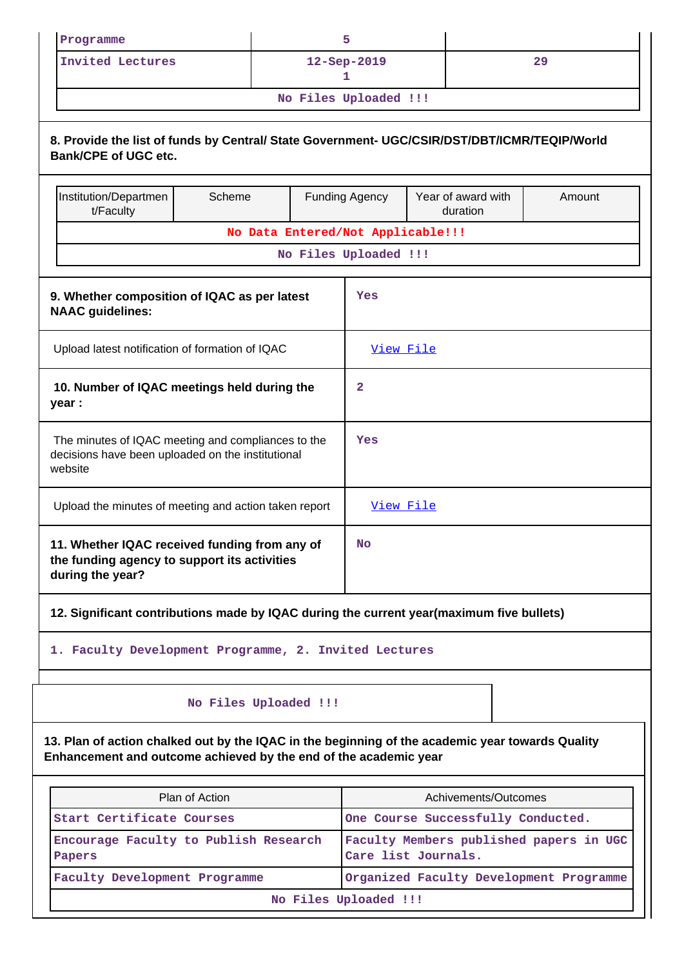| Programme                                                                                                                                                            |                       |  | 5                                                              |                                |                                         |  |  |
|----------------------------------------------------------------------------------------------------------------------------------------------------------------------|-----------------------|--|----------------------------------------------------------------|--------------------------------|-----------------------------------------|--|--|
| <b>Invited Lectures</b>                                                                                                                                              |                       |  | 12-Sep-2019<br>29<br>1                                         |                                |                                         |  |  |
|                                                                                                                                                                      |                       |  | No Files Uploaded !!!                                          |                                |                                         |  |  |
| 8. Provide the list of funds by Central/ State Government- UGC/CSIR/DST/DBT/ICMR/TEQIP/World<br><b>Bank/CPE of UGC etc.</b>                                          |                       |  |                                                                |                                |                                         |  |  |
| Institution/Departmen<br>t/Faculty                                                                                                                                   | Scheme                |  | <b>Funding Agency</b>                                          | Year of award with<br>duration | Amount                                  |  |  |
|                                                                                                                                                                      |                       |  | No Data Entered/Not Applicable!!!                              |                                |                                         |  |  |
|                                                                                                                                                                      |                       |  | No Files Uploaded !!!                                          |                                |                                         |  |  |
| 9. Whether composition of IQAC as per latest<br><b>NAAC</b> guidelines:                                                                                              |                       |  | Yes                                                            |                                |                                         |  |  |
| Upload latest notification of formation of IQAC                                                                                                                      |                       |  | View File                                                      |                                |                                         |  |  |
| 10. Number of IQAC meetings held during the<br>year :                                                                                                                |                       |  | $\mathbf{2}$                                                   |                                |                                         |  |  |
| The minutes of IQAC meeting and compliances to the<br>decisions have been uploaded on the institutional<br>website                                                   |                       |  | Yes                                                            |                                |                                         |  |  |
| Upload the minutes of meeting and action taken report                                                                                                                |                       |  | View File                                                      |                                |                                         |  |  |
| 11. Whether IQAC received funding from any of<br>the funding agency to support its activities<br>during the year?                                                    |                       |  | No                                                             |                                |                                         |  |  |
| 12. Significant contributions made by IQAC during the current year(maximum five bullets)                                                                             |                       |  |                                                                |                                |                                         |  |  |
| 1. Faculty Development Programme, 2. Invited Lectures                                                                                                                |                       |  |                                                                |                                |                                         |  |  |
|                                                                                                                                                                      | No Files Uploaded !!! |  |                                                                |                                |                                         |  |  |
| 13. Plan of action chalked out by the IQAC in the beginning of the academic year towards Quality<br>Enhancement and outcome achieved by the end of the academic year |                       |  |                                                                |                                |                                         |  |  |
|                                                                                                                                                                      | Plan of Action        |  |                                                                | Achivements/Outcomes           |                                         |  |  |
| Start Certificate Courses                                                                                                                                            |                       |  |                                                                |                                | One Course Successfully Conducted.      |  |  |
| Encourage Faculty to Publish Research<br>Papers                                                                                                                      |                       |  | Faculty Members published papers in UGC<br>Care list Journals. |                                |                                         |  |  |
| Faculty Development Programme                                                                                                                                        |                       |  |                                                                |                                | Organized Faculty Development Programme |  |  |
|                                                                                                                                                                      | No Files Uploaded !!! |  |                                                                |                                |                                         |  |  |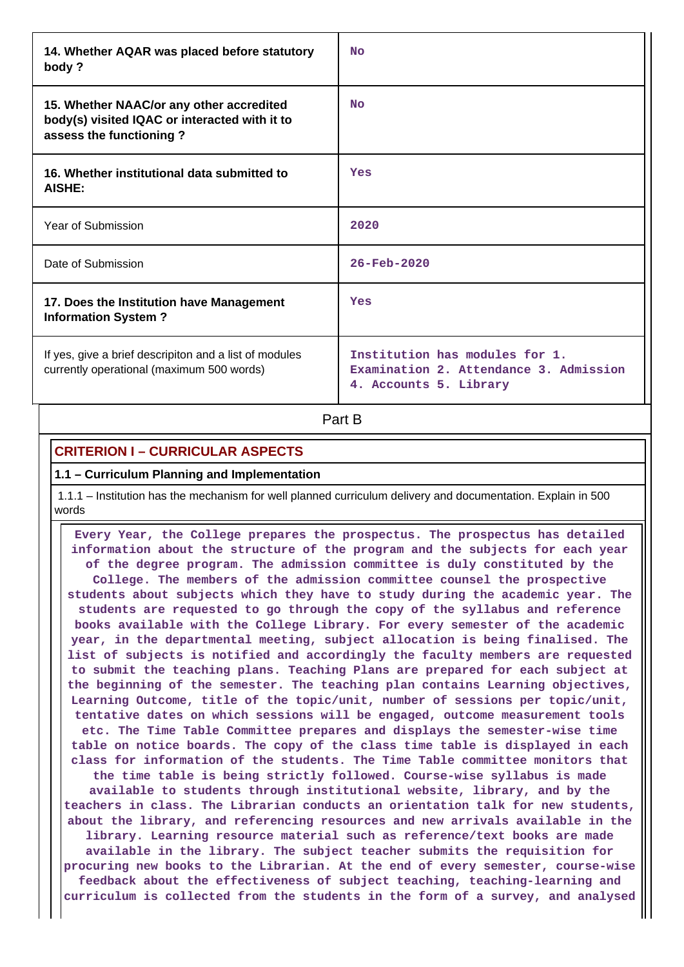| 14. Whether AQAR was placed before statutory<br>body?                                                                | N <sub>O</sub>                                                                                     |
|----------------------------------------------------------------------------------------------------------------------|----------------------------------------------------------------------------------------------------|
| 15. Whether NAAC/or any other accredited<br>body(s) visited IQAC or interacted with it to<br>assess the functioning? | <b>No</b>                                                                                          |
| 16. Whether institutional data submitted to<br>AISHE:                                                                | Yes                                                                                                |
| Year of Submission                                                                                                   | 2020                                                                                               |
| Date of Submission                                                                                                   | $26 - \text{Feb} - 2020$                                                                           |
| 17. Does the Institution have Management<br><b>Information System?</b>                                               | Yes                                                                                                |
| If yes, give a brief descripiton and a list of modules<br>currently operational (maximum 500 words)                  | Institution has modules for 1.<br>Examination 2. Attendance 3. Admission<br>4. Accounts 5. Library |

**Part B** 

# **CRITERION I – CURRICULAR ASPECTS**

## **1.1 – Curriculum Planning and Implementation**

 1.1.1 – Institution has the mechanism for well planned curriculum delivery and documentation. Explain in 500 words

 **Every Year, the College prepares the prospectus. The prospectus has detailed information about the structure of the program and the subjects for each year of the degree program. The admission committee is duly constituted by the College. The members of the admission committee counsel the prospective students about subjects which they have to study during the academic year. The students are requested to go through the copy of the syllabus and reference books available with the College Library. For every semester of the academic year, in the departmental meeting, subject allocation is being finalised. The list of subjects is notified and accordingly the faculty members are requested to submit the teaching plans. Teaching Plans are prepared for each subject at the beginning of the semester. The teaching plan contains Learning objectives, Learning Outcome, title of the topic/unit, number of sessions per topic/unit, tentative dates on which sessions will be engaged, outcome measurement tools etc. The Time Table Committee prepares and displays the semester-wise time table on notice boards. The copy of the class time table is displayed in each class for information of the students. The Time Table committee monitors that the time table is being strictly followed. Course-wise syllabus is made available to students through institutional website, library, and by the teachers in class. The Librarian conducts an orientation talk for new students, about the library, and referencing resources and new arrivals available in the library. Learning resource material such as reference/text books are made available in the library. The subject teacher submits the requisition for procuring new books to the Librarian. At the end of every semester, course-wise feedback about the effectiveness of subject teaching, teaching-learning and curriculum is collected from the students in the form of a survey, and analysed**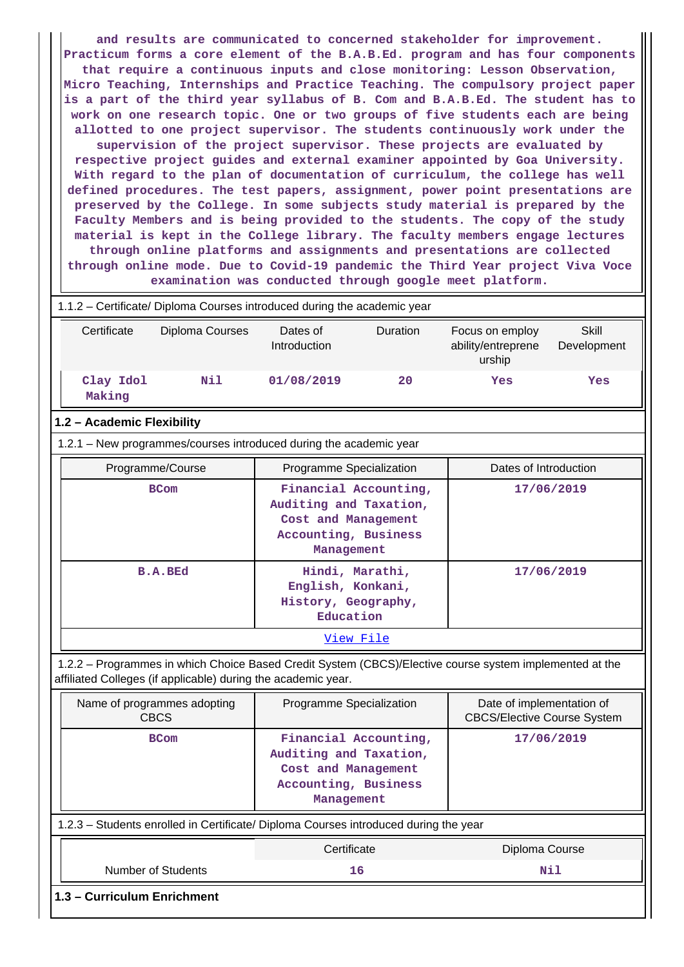**and results are communicated to concerned stakeholder for improvement. Practicum forms a core element of the B.A.B.Ed. program and has four components that require a continuous inputs and close monitoring: Lesson Observation, Micro Teaching, Internships and Practice Teaching. The compulsory project paper is a part of the third year syllabus of B. Com and B.A.B.Ed. The student has to work on one research topic. One or two groups of five students each are being allotted to one project supervisor. The students continuously work under the supervision of the project supervisor. These projects are evaluated by respective project guides and external examiner appointed by Goa University. With regard to the plan of documentation of curriculum, the college has well defined procedures. The test papers, assignment, power point presentations are preserved by the College. In some subjects study material is prepared by the Faculty Members and is being provided to the students. The copy of the study material is kept in the College library. The faculty members engage lectures through online platforms and assignments and presentations are collected through online mode. Due to Covid-19 pandemic the Third Year project Viva Voce examination was conducted through google meet platform.**

# 1.1.2 – Certificate/ Diploma Courses introduced during the academic year

| Certificate                | Diploma Courses                                                                                                                                                          | Dates of<br>Introduction                                                            | Duration              | Focus on employ<br>ability/entreprene<br>urship                 | <b>Skill</b><br>Development |  |  |  |
|----------------------------|--------------------------------------------------------------------------------------------------------------------------------------------------------------------------|-------------------------------------------------------------------------------------|-----------------------|-----------------------------------------------------------------|-----------------------------|--|--|--|
| Clay Idol<br>Making        | Nil                                                                                                                                                                      | 01/08/2019                                                                          | 20                    | Yes                                                             | Yes                         |  |  |  |
| 1.2 - Academic Flexibility |                                                                                                                                                                          |                                                                                     |                       |                                                                 |                             |  |  |  |
|                            | 1.2.1 - New programmes/courses introduced during the academic year                                                                                                       |                                                                                     |                       |                                                                 |                             |  |  |  |
|                            | Programme/Course                                                                                                                                                         | Programme Specialization                                                            |                       | Dates of Introduction                                           |                             |  |  |  |
|                            | <b>BCom</b>                                                                                                                                                              | Auditing and Taxation,<br>Cost and Management<br>Accounting, Business<br>Management | Financial Accounting, |                                                                 | 17/06/2019                  |  |  |  |
|                            | <b>B.A.BEd</b>                                                                                                                                                           | English, Konkani,<br>History, Geography,<br>Education                               | Hindi, Marathi,       |                                                                 | 17/06/2019                  |  |  |  |
|                            |                                                                                                                                                                          |                                                                                     | View File             |                                                                 |                             |  |  |  |
|                            | 1.2.2 - Programmes in which Choice Based Credit System (CBCS)/Elective course system implemented at the<br>affiliated Colleges (if applicable) during the academic year. |                                                                                     |                       |                                                                 |                             |  |  |  |
|                            | Name of programmes adopting<br><b>CBCS</b>                                                                                                                               | Programme Specialization                                                            |                       | Date of implementation of<br><b>CBCS/Elective Course System</b> |                             |  |  |  |
|                            | <b>BCom</b>                                                                                                                                                              | Auditing and Taxation,<br>Cost and Management<br>Accounting, Business<br>Management | Financial Accounting, | 17/06/2019                                                      |                             |  |  |  |
|                            | 1.2.3 - Students enrolled in Certificate/ Diploma Courses introduced during the year                                                                                     |                                                                                     |                       |                                                                 |                             |  |  |  |
|                            |                                                                                                                                                                          | Certificate                                                                         |                       | Diploma Course                                                  |                             |  |  |  |
|                            | <b>Number of Students</b>                                                                                                                                                |                                                                                     | 16                    |                                                                 | Nil                         |  |  |  |
|                            | 1.3 - Curriculum Enrichment                                                                                                                                              |                                                                                     |                       |                                                                 |                             |  |  |  |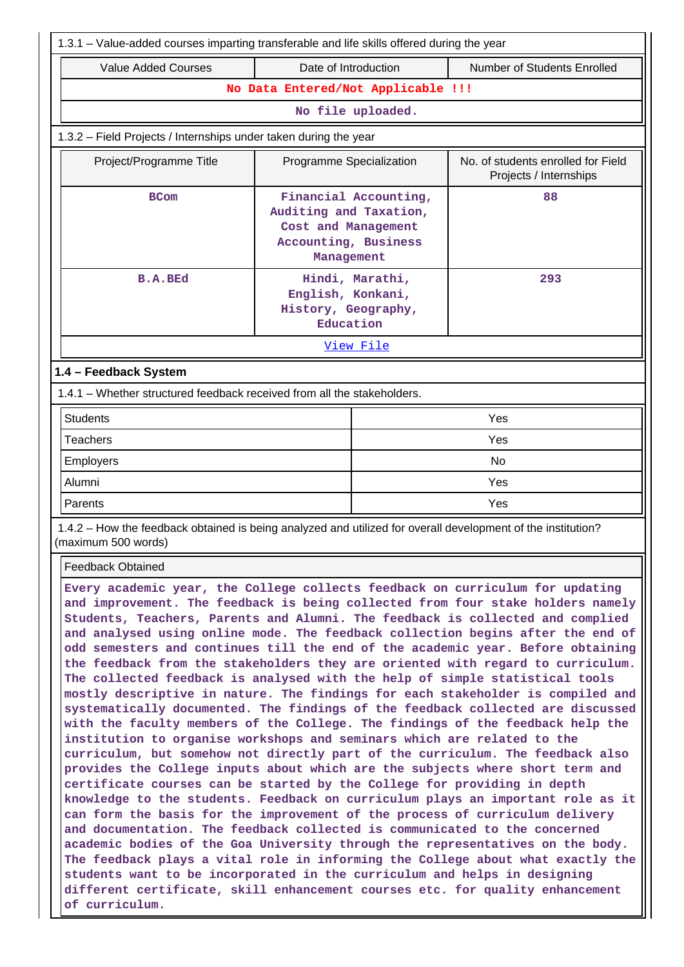| 1.3.1 – Value-added courses imparting transferable and life skills offered during the year                                                                                                                                                                                                                                                                                                                                                                                                                                                                                                                                                                                                                                                                                                                                                                                                                                                                                                                                                                                                                                                                                                                                                                                                                                                                                                                                                                                                                                                                                                                                                                                                                   |  |  |  |  |  |  |  |
|--------------------------------------------------------------------------------------------------------------------------------------------------------------------------------------------------------------------------------------------------------------------------------------------------------------------------------------------------------------------------------------------------------------------------------------------------------------------------------------------------------------------------------------------------------------------------------------------------------------------------------------------------------------------------------------------------------------------------------------------------------------------------------------------------------------------------------------------------------------------------------------------------------------------------------------------------------------------------------------------------------------------------------------------------------------------------------------------------------------------------------------------------------------------------------------------------------------------------------------------------------------------------------------------------------------------------------------------------------------------------------------------------------------------------------------------------------------------------------------------------------------------------------------------------------------------------------------------------------------------------------------------------------------------------------------------------------------|--|--|--|--|--|--|--|
| Number of Students Enrolled<br>Date of Introduction                                                                                                                                                                                                                                                                                                                                                                                                                                                                                                                                                                                                                                                                                                                                                                                                                                                                                                                                                                                                                                                                                                                                                                                                                                                                                                                                                                                                                                                                                                                                                                                                                                                          |  |  |  |  |  |  |  |
| No Data Entered/Not Applicable !!!                                                                                                                                                                                                                                                                                                                                                                                                                                                                                                                                                                                                                                                                                                                                                                                                                                                                                                                                                                                                                                                                                                                                                                                                                                                                                                                                                                                                                                                                                                                                                                                                                                                                           |  |  |  |  |  |  |  |
| No file uploaded.                                                                                                                                                                                                                                                                                                                                                                                                                                                                                                                                                                                                                                                                                                                                                                                                                                                                                                                                                                                                                                                                                                                                                                                                                                                                                                                                                                                                                                                                                                                                                                                                                                                                                            |  |  |  |  |  |  |  |
|                                                                                                                                                                                                                                                                                                                                                                                                                                                                                                                                                                                                                                                                                                                                                                                                                                                                                                                                                                                                                                                                                                                                                                                                                                                                                                                                                                                                                                                                                                                                                                                                                                                                                                              |  |  |  |  |  |  |  |
| No. of students enrolled for Field<br>Programme Specialization<br>Projects / Internships                                                                                                                                                                                                                                                                                                                                                                                                                                                                                                                                                                                                                                                                                                                                                                                                                                                                                                                                                                                                                                                                                                                                                                                                                                                                                                                                                                                                                                                                                                                                                                                                                     |  |  |  |  |  |  |  |
| 88<br>Financial Accounting,<br>Auditing and Taxation,<br>Cost and Management<br>Accounting, Business                                                                                                                                                                                                                                                                                                                                                                                                                                                                                                                                                                                                                                                                                                                                                                                                                                                                                                                                                                                                                                                                                                                                                                                                                                                                                                                                                                                                                                                                                                                                                                                                         |  |  |  |  |  |  |  |
| Hindi, Marathi,<br>293<br>English, Konkani,<br>History, Geography,                                                                                                                                                                                                                                                                                                                                                                                                                                                                                                                                                                                                                                                                                                                                                                                                                                                                                                                                                                                                                                                                                                                                                                                                                                                                                                                                                                                                                                                                                                                                                                                                                                           |  |  |  |  |  |  |  |
|                                                                                                                                                                                                                                                                                                                                                                                                                                                                                                                                                                                                                                                                                                                                                                                                                                                                                                                                                                                                                                                                                                                                                                                                                                                                                                                                                                                                                                                                                                                                                                                                                                                                                                              |  |  |  |  |  |  |  |
|                                                                                                                                                                                                                                                                                                                                                                                                                                                                                                                                                                                                                                                                                                                                                                                                                                                                                                                                                                                                                                                                                                                                                                                                                                                                                                                                                                                                                                                                                                                                                                                                                                                                                                              |  |  |  |  |  |  |  |
| 1.4.1 – Whether structured feedback received from all the stakeholders.                                                                                                                                                                                                                                                                                                                                                                                                                                                                                                                                                                                                                                                                                                                                                                                                                                                                                                                                                                                                                                                                                                                                                                                                                                                                                                                                                                                                                                                                                                                                                                                                                                      |  |  |  |  |  |  |  |
| Yes                                                                                                                                                                                                                                                                                                                                                                                                                                                                                                                                                                                                                                                                                                                                                                                                                                                                                                                                                                                                                                                                                                                                                                                                                                                                                                                                                                                                                                                                                                                                                                                                                                                                                                          |  |  |  |  |  |  |  |
| Yes                                                                                                                                                                                                                                                                                                                                                                                                                                                                                                                                                                                                                                                                                                                                                                                                                                                                                                                                                                                                                                                                                                                                                                                                                                                                                                                                                                                                                                                                                                                                                                                                                                                                                                          |  |  |  |  |  |  |  |
| <b>No</b>                                                                                                                                                                                                                                                                                                                                                                                                                                                                                                                                                                                                                                                                                                                                                                                                                                                                                                                                                                                                                                                                                                                                                                                                                                                                                                                                                                                                                                                                                                                                                                                                                                                                                                    |  |  |  |  |  |  |  |
| Yes                                                                                                                                                                                                                                                                                                                                                                                                                                                                                                                                                                                                                                                                                                                                                                                                                                                                                                                                                                                                                                                                                                                                                                                                                                                                                                                                                                                                                                                                                                                                                                                                                                                                                                          |  |  |  |  |  |  |  |
| Yes                                                                                                                                                                                                                                                                                                                                                                                                                                                                                                                                                                                                                                                                                                                                                                                                                                                                                                                                                                                                                                                                                                                                                                                                                                                                                                                                                                                                                                                                                                                                                                                                                                                                                                          |  |  |  |  |  |  |  |
| 1.4.2 - How the feedback obtained is being analyzed and utilized for overall development of the institution?                                                                                                                                                                                                                                                                                                                                                                                                                                                                                                                                                                                                                                                                                                                                                                                                                                                                                                                                                                                                                                                                                                                                                                                                                                                                                                                                                                                                                                                                                                                                                                                                 |  |  |  |  |  |  |  |
|                                                                                                                                                                                                                                                                                                                                                                                                                                                                                                                                                                                                                                                                                                                                                                                                                                                                                                                                                                                                                                                                                                                                                                                                                                                                                                                                                                                                                                                                                                                                                                                                                                                                                                              |  |  |  |  |  |  |  |
| <b>Feedback Obtained</b><br>Every academic year, the College collects feedback on curriculum for updating<br>and improvement. The feedback is being collected from four stake holders namely<br>Students, Teachers, Parents and Alumni. The feedback is collected and complied<br>and analysed using online mode. The feedback collection begins after the end of<br>odd semesters and continues till the end of the academic year. Before obtaining<br>the feedback from the stakeholders they are oriented with regard to curriculum.<br>The collected feedback is analysed with the help of simple statistical tools<br>mostly descriptive in nature. The findings for each stakeholder is compiled and<br>systematically documented. The findings of the feedback collected are discussed<br>with the faculty members of the College. The findings of the feedback help the<br>institution to organise workshops and seminars which are related to the<br>curriculum, but somehow not directly part of the curriculum. The feedback also<br>provides the College inputs about which are the subjects where short term and<br>certificate courses can be started by the College for providing in depth<br>knowledge to the students. Feedback on curriculum plays an important role as it<br>can form the basis for the improvement of the process of curriculum delivery<br>and documentation. The feedback collected is communicated to the concerned<br>academic bodies of the Goa University through the representatives on the body.<br>The feedback plays a vital role in informing the College about what exactly the<br>students want to be incorporated in the curriculum and helps in designing |  |  |  |  |  |  |  |
| different certificate, skill enhancement courses etc. for quality enhancement                                                                                                                                                                                                                                                                                                                                                                                                                                                                                                                                                                                                                                                                                                                                                                                                                                                                                                                                                                                                                                                                                                                                                                                                                                                                                                                                                                                                                                                                                                                                                                                                                                |  |  |  |  |  |  |  |

**of curriculum.**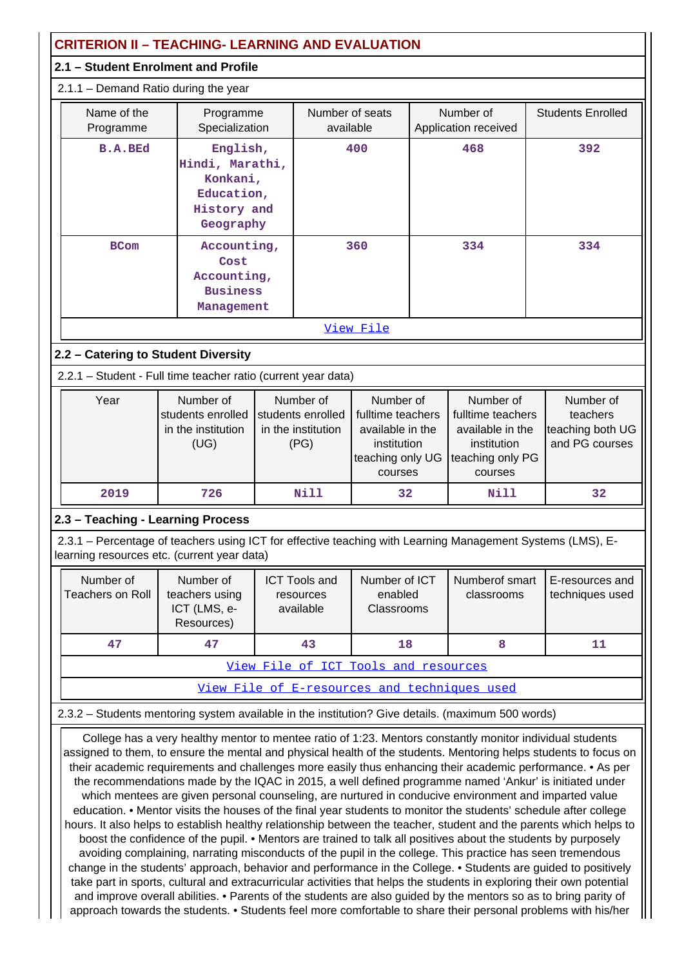|                                      |  | <b>CRITERION II - TEACHING- LEARNING AND EVALUATION</b>                           |  |                                                              |                                                                                                  |  |                                                                                                                                                                                                                                                                                                                                                                                                                                                                                                                                                                                                                                                                                                                                                                                                                                                                                                                            |  |                                                             |
|--------------------------------------|--|-----------------------------------------------------------------------------------|--|--------------------------------------------------------------|--------------------------------------------------------------------------------------------------|--|----------------------------------------------------------------------------------------------------------------------------------------------------------------------------------------------------------------------------------------------------------------------------------------------------------------------------------------------------------------------------------------------------------------------------------------------------------------------------------------------------------------------------------------------------------------------------------------------------------------------------------------------------------------------------------------------------------------------------------------------------------------------------------------------------------------------------------------------------------------------------------------------------------------------------|--|-------------------------------------------------------------|
|                                      |  | 2.1 - Student Enrolment and Profile                                               |  |                                                              |                                                                                                  |  |                                                                                                                                                                                                                                                                                                                                                                                                                                                                                                                                                                                                                                                                                                                                                                                                                                                                                                                            |  |                                                             |
|                                      |  | 2.1.1 - Demand Ratio during the year                                              |  |                                                              |                                                                                                  |  |                                                                                                                                                                                                                                                                                                                                                                                                                                                                                                                                                                                                                                                                                                                                                                                                                                                                                                                            |  |                                                             |
| Name of the<br>Programme             |  | Programme<br>Specialization                                                       |  | Number of seats<br>available                                 |                                                                                                  |  | Number of<br>Application received                                                                                                                                                                                                                                                                                                                                                                                                                                                                                                                                                                                                                                                                                                                                                                                                                                                                                          |  | <b>Students Enrolled</b>                                    |
| <b>B.A.BEd</b>                       |  | English,<br>Hindi, Marathi,<br>Konkani,<br>Education,<br>History and<br>Geography |  |                                                              | 400                                                                                              |  | 468                                                                                                                                                                                                                                                                                                                                                                                                                                                                                                                                                                                                                                                                                                                                                                                                                                                                                                                        |  | 392                                                         |
| <b>BCom</b>                          |  | Accounting,<br>Cost<br>Accounting,<br><b>Business</b><br>Management               |  |                                                              | 360                                                                                              |  | 334                                                                                                                                                                                                                                                                                                                                                                                                                                                                                                                                                                                                                                                                                                                                                                                                                                                                                                                        |  | 334                                                         |
| View File                            |  |                                                                                   |  |                                                              |                                                                                                  |  |                                                                                                                                                                                                                                                                                                                                                                                                                                                                                                                                                                                                                                                                                                                                                                                                                                                                                                                            |  |                                                             |
| 2.2 - Catering to Student Diversity  |  |                                                                                   |  |                                                              |                                                                                                  |  |                                                                                                                                                                                                                                                                                                                                                                                                                                                                                                                                                                                                                                                                                                                                                                                                                                                                                                                            |  |                                                             |
|                                      |  | 2.2.1 - Student - Full time teacher ratio (current year data)                     |  |                                                              |                                                                                                  |  |                                                                                                                                                                                                                                                                                                                                                                                                                                                                                                                                                                                                                                                                                                                                                                                                                                                                                                                            |  |                                                             |
| Year                                 |  | Number of<br>students enrolled<br>in the institution<br>(UG)                      |  | Number of<br>students enrolled<br>in the institution<br>(PG) | Number of<br>fulltime teachers<br>available in the<br>institution<br>teaching only UG<br>courses |  | Number of<br>fulltime teachers<br>available in the<br>institution<br>teaching only PG<br>courses                                                                                                                                                                                                                                                                                                                                                                                                                                                                                                                                                                                                                                                                                                                                                                                                                           |  | Number of<br>teachers<br>teaching both UG<br>and PG courses |
| 2019                                 |  | 726                                                                               |  | Nill                                                         | 32                                                                                               |  | Nill                                                                                                                                                                                                                                                                                                                                                                                                                                                                                                                                                                                                                                                                                                                                                                                                                                                                                                                       |  | 32                                                          |
| 2.3 - Teaching - Learning Process    |  |                                                                                   |  |                                                              |                                                                                                  |  |                                                                                                                                                                                                                                                                                                                                                                                                                                                                                                                                                                                                                                                                                                                                                                                                                                                                                                                            |  |                                                             |
|                                      |  | learning resources etc. (current year data)                                       |  |                                                              |                                                                                                  |  | 2.3.1 - Percentage of teachers using ICT for effective teaching with Learning Management Systems (LMS), E-                                                                                                                                                                                                                                                                                                                                                                                                                                                                                                                                                                                                                                                                                                                                                                                                                 |  |                                                             |
| Number of<br><b>Teachers on Roll</b> |  | Number of<br>teachers using<br>ICT (LMS, e-<br>Resources)                         |  | <b>ICT Tools and</b><br>resources<br>available               | Number of ICT<br>enabled<br>Classrooms                                                           |  | Numberof smart<br>classrooms                                                                                                                                                                                                                                                                                                                                                                                                                                                                                                                                                                                                                                                                                                                                                                                                                                                                                               |  | E-resources and<br>techniques used                          |
| 47                                   |  | 47                                                                                |  | 43                                                           | 18                                                                                               |  | 8                                                                                                                                                                                                                                                                                                                                                                                                                                                                                                                                                                                                                                                                                                                                                                                                                                                                                                                          |  | 11                                                          |
|                                      |  |                                                                                   |  |                                                              | View File of ICT Tools and resources                                                             |  |                                                                                                                                                                                                                                                                                                                                                                                                                                                                                                                                                                                                                                                                                                                                                                                                                                                                                                                            |  |                                                             |
|                                      |  |                                                                                   |  |                                                              |                                                                                                  |  | View File of E-resources and techniques used                                                                                                                                                                                                                                                                                                                                                                                                                                                                                                                                                                                                                                                                                                                                                                                                                                                                               |  |                                                             |
|                                      |  |                                                                                   |  |                                                              |                                                                                                  |  | 2.3.2 - Students mentoring system available in the institution? Give details. (maximum 500 words)                                                                                                                                                                                                                                                                                                                                                                                                                                                                                                                                                                                                                                                                                                                                                                                                                          |  |                                                             |
|                                      |  |                                                                                   |  |                                                              |                                                                                                  |  | College has a very healthy mentor to mentee ratio of 1:23. Mentors constantly monitor individual students<br>assigned to them, to ensure the mental and physical health of the students. Mentoring helps students to focus on<br>their academic requirements and challenges more easily thus enhancing their academic performance. • As per<br>the recommendations made by the IQAC in 2015, a well defined programme named 'Ankur' is initiated under<br>which mentees are given personal counseling, are nurtured in conducive environment and imparted value<br>education. • Mentor visits the houses of the final year students to monitor the students' schedule after college<br>hours. It also helps to establish healthy relationship between the teacher, student and the parents which helps to<br>boost the confidence of the pupil • Mentors are trained to talk all positives about the students by purposely |  |                                                             |

boost the confidence of the pupil. • Mentors are trained to talk all positives about the students by purposely avoiding complaining, narrating misconducts of the pupil in the college. This practice has seen tremendous change in the students' approach, behavior and performance in the College. • Students are guided to positively take part in sports, cultural and extracurricular activities that helps the students in exploring their own potential and improve overall abilities. • Parents of the students are also guided by the mentors so as to bring parity of approach towards the students. • Students feel more comfortable to share their personal problems with his/her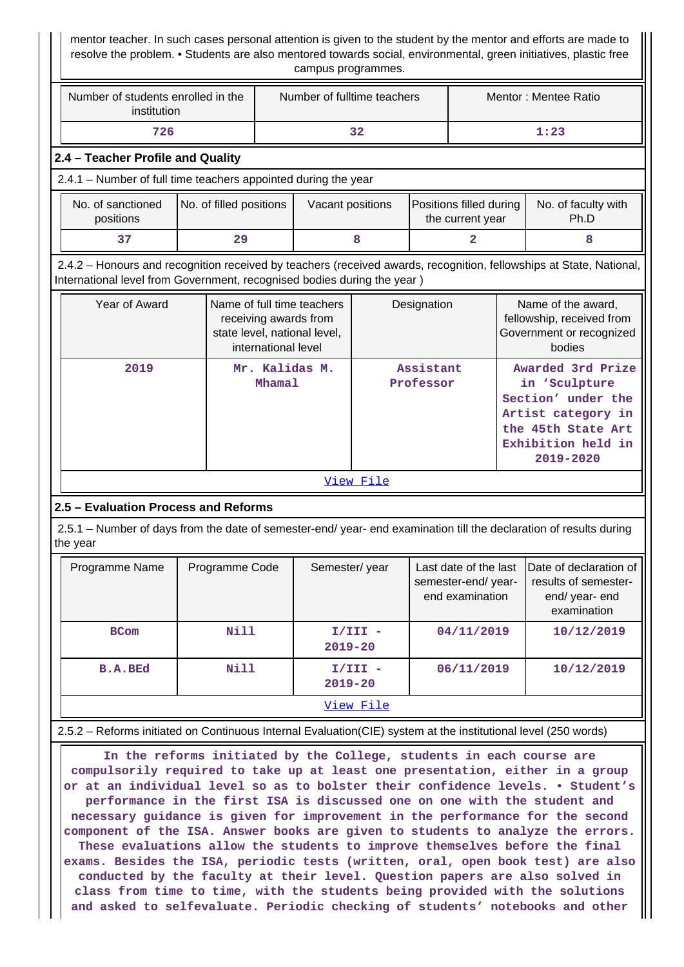mentor teacher. In such cases personal attention is given to the student by the mentor and efforts are made to resolve the problem. • Students are also mentored towards social, environmental, green initiatives, plastic free campus programmes.

| Number of students enrolled in the<br>institution                                                                                                                                              |                                                                                                                                                                                                                                                                                                                                                            | Number of fulltime teachers |                        |                                                                 | Mentor: Mentee Ratio |                                                                                                                                         |                                                                                 |                                                                                       |  |
|------------------------------------------------------------------------------------------------------------------------------------------------------------------------------------------------|------------------------------------------------------------------------------------------------------------------------------------------------------------------------------------------------------------------------------------------------------------------------------------------------------------------------------------------------------------|-----------------------------|------------------------|-----------------------------------------------------------------|----------------------|-----------------------------------------------------------------------------------------------------------------------------------------|---------------------------------------------------------------------------------|---------------------------------------------------------------------------------------|--|
| 726                                                                                                                                                                                            |                                                                                                                                                                                                                                                                                                                                                            |                             |                        | 32                                                              |                      |                                                                                                                                         |                                                                                 | 1:23                                                                                  |  |
| 2.4 - Teacher Profile and Quality                                                                                                                                                              |                                                                                                                                                                                                                                                                                                                                                            |                             |                        |                                                                 |                      |                                                                                                                                         |                                                                                 |                                                                                       |  |
| 2.4.1 - Number of full time teachers appointed during the year                                                                                                                                 |                                                                                                                                                                                                                                                                                                                                                            |                             |                        |                                                                 |                      |                                                                                                                                         |                                                                                 |                                                                                       |  |
| No. of sanctioned<br>positions                                                                                                                                                                 | No. of filled positions                                                                                                                                                                                                                                                                                                                                    |                             | Vacant positions       |                                                                 |                      | Positions filled during<br>the current year                                                                                             |                                                                                 | No. of faculty with<br>Ph.D                                                           |  |
| 37                                                                                                                                                                                             | 29                                                                                                                                                                                                                                                                                                                                                         |                             |                        | 8                                                               |                      | 2                                                                                                                                       |                                                                                 | 8                                                                                     |  |
| 2.4.2 – Honours and recognition received by teachers (received awards, recognition, fellowships at State, National,<br>International level from Government, recognised bodies during the year) |                                                                                                                                                                                                                                                                                                                                                            |                             |                        |                                                                 |                      |                                                                                                                                         |                                                                                 |                                                                                       |  |
| Year of Award                                                                                                                                                                                  | Name of full time teachers<br>receiving awards from<br>state level, national level,<br>international level                                                                                                                                                                                                                                                 |                             |                        |                                                                 | Designation          |                                                                                                                                         |                                                                                 | Name of the award,<br>fellowship, received from<br>Government or recognized<br>bodies |  |
| 2019<br>Mr. Kalidas M.                                                                                                                                                                         |                                                                                                                                                                                                                                                                                                                                                            | Mhamal                      | Assistant<br>Professor |                                                                 |                      | Awarded 3rd Prize<br>in 'Sculpture<br>Section' under the<br>Artist category in<br>the 45th State Art<br>Exhibition held in<br>2019-2020 |                                                                                 |                                                                                       |  |
|                                                                                                                                                                                                |                                                                                                                                                                                                                                                                                                                                                            |                             |                        | View File                                                       |                      |                                                                                                                                         |                                                                                 |                                                                                       |  |
| 2.5 - Evaluation Process and Reforms                                                                                                                                                           |                                                                                                                                                                                                                                                                                                                                                            |                             |                        |                                                                 |                      |                                                                                                                                         |                                                                                 |                                                                                       |  |
| 2.5.1 – Number of days from the date of semester-end/ year- end examination till the declaration of results during<br>the year                                                                 |                                                                                                                                                                                                                                                                                                                                                            |                             |                        |                                                                 |                      |                                                                                                                                         |                                                                                 |                                                                                       |  |
| Programme Name                                                                                                                                                                                 | Programme Code                                                                                                                                                                                                                                                                                                                                             |                             | Semester/year          | Last date of the last<br>semester-end/ year-<br>end examination |                      |                                                                                                                                         | Date of declaration of<br>results of semester-<br>end/ year- end<br>examination |                                                                                       |  |
| <b>BCom</b>                                                                                                                                                                                    | <b>Nill</b>                                                                                                                                                                                                                                                                                                                                                | $2019 - 20$                 |                        | $I/III -$                                                       |                      | 04/11/2019                                                                                                                              |                                                                                 | 10/12/2019                                                                            |  |
| <b>B.A.BEd</b>                                                                                                                                                                                 | <b>Nill</b>                                                                                                                                                                                                                                                                                                                                                | $2019 - 20$                 |                        | $I/III -$                                                       |                      | 06/11/2019                                                                                                                              |                                                                                 | 10/12/2019                                                                            |  |
|                                                                                                                                                                                                |                                                                                                                                                                                                                                                                                                                                                            |                             |                        | View File                                                       |                      |                                                                                                                                         |                                                                                 |                                                                                       |  |
|                                                                                                                                                                                                |                                                                                                                                                                                                                                                                                                                                                            |                             |                        |                                                                 |                      |                                                                                                                                         |                                                                                 |                                                                                       |  |
|                                                                                                                                                                                                | 2.5.2 - Reforms initiated on Continuous Internal Evaluation(CIE) system at the institutional level (250 words)<br>In the reforms initiated by the College, students in each course are<br>compulsorily required to take up at least one presentation, either in a group<br>or at an individual level so as to bolster their confidence levels. . Student's |                             |                        |                                                                 |                      |                                                                                                                                         |                                                                                 |                                                                                       |  |

**performance in the first ISA is discussed one on one with the student and necessary guidance is given for improvement in the performance for the second component of the ISA. Answer books are given to students to analyze the errors. These evaluations allow the students to improve themselves before the final exams. Besides the ISA, periodic tests (written, oral, open book test) are also conducted by the faculty at their level. Question papers are also solved in class from time to time, with the students being provided with the solutions and asked to selfevaluate. Periodic checking of students' notebooks and other**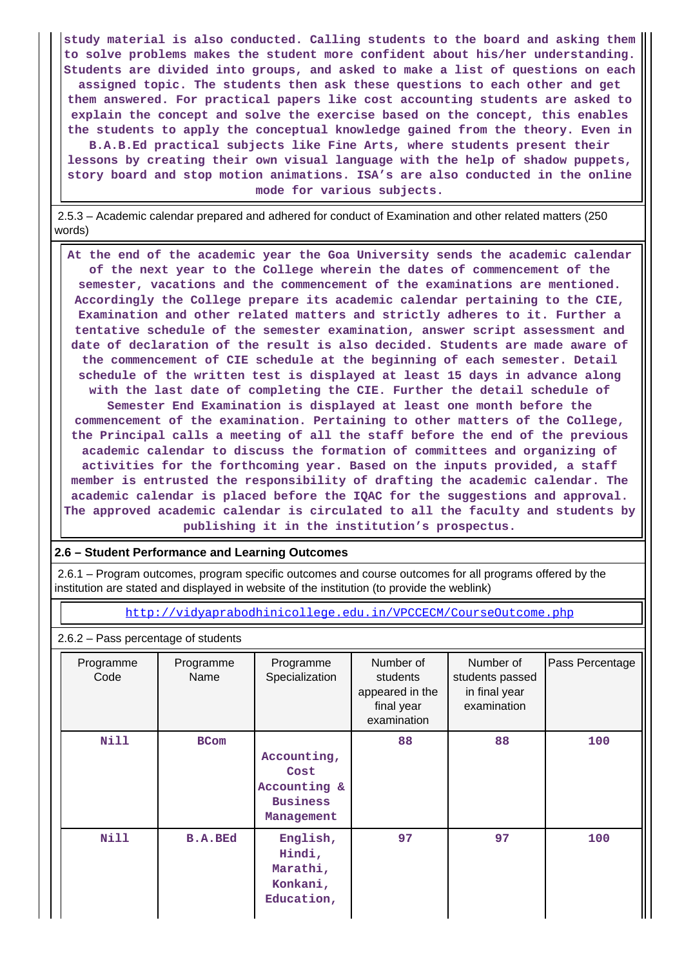**study material is also conducted. Calling students to the board and asking them to solve problems makes the student more confident about his/her understanding. Students are divided into groups, and asked to make a list of questions on each assigned topic. The students then ask these questions to each other and get them answered. For practical papers like cost accounting students are asked to explain the concept and solve the exercise based on the concept, this enables the students to apply the conceptual knowledge gained from the theory. Even in B.A.B.Ed practical subjects like Fine Arts, where students present their lessons by creating their own visual language with the help of shadow puppets, story board and stop motion animations. ISA's are also conducted in the online mode for various subjects.**

 2.5.3 – Academic calendar prepared and adhered for conduct of Examination and other related matters (250 words)

 **At the end of the academic year the Goa University sends the academic calendar of the next year to the College wherein the dates of commencement of the semester, vacations and the commencement of the examinations are mentioned. Accordingly the College prepare its academic calendar pertaining to the CIE, Examination and other related matters and strictly adheres to it. Further a tentative schedule of the semester examination, answer script assessment and date of declaration of the result is also decided. Students are made aware of the commencement of CIE schedule at the beginning of each semester. Detail schedule of the written test is displayed at least 15 days in advance along with the last date of completing the CIE. Further the detail schedule of Semester End Examination is displayed at least one month before the commencement of the examination. Pertaining to other matters of the College, the Principal calls a meeting of all the staff before the end of the previous academic calendar to discuss the formation of committees and organizing of activities for the forthcoming year. Based on the inputs provided, a staff member is entrusted the responsibility of drafting the academic calendar. The academic calendar is placed before the IQAC for the suggestions and approval. The approved academic calendar is circulated to all the faculty and students by publishing it in the institution's prospectus.**

### **2.6 – Student Performance and Learning Outcomes**

 2.6.1 – Program outcomes, program specific outcomes and course outcomes for all programs offered by the institution are stated and displayed in website of the institution (to provide the weblink)

<http://vidyaprabodhinicollege.edu.in/VPCCECM/CourseOutcome.php>

### 2.6.2 – Pass percentage of students

| Programme<br>Code | Programme<br>Name | Programme<br>Specialization                                          | Number of<br>students<br>appeared in the<br>final year<br>examination | Number of<br>students passed<br>in final year<br>examination | Pass Percentage |
|-------------------|-------------------|----------------------------------------------------------------------|-----------------------------------------------------------------------|--------------------------------------------------------------|-----------------|
| Nill              | <b>BCom</b>       | Accounting,<br>Cost<br>Accounting &<br><b>Business</b><br>Management | 88                                                                    | 88                                                           | 100             |
| Nill              | <b>B.A.BEd</b>    | English,<br>Hindi,<br>Marathi,<br>Konkani,<br>Education,             | 97                                                                    | 97                                                           | 100             |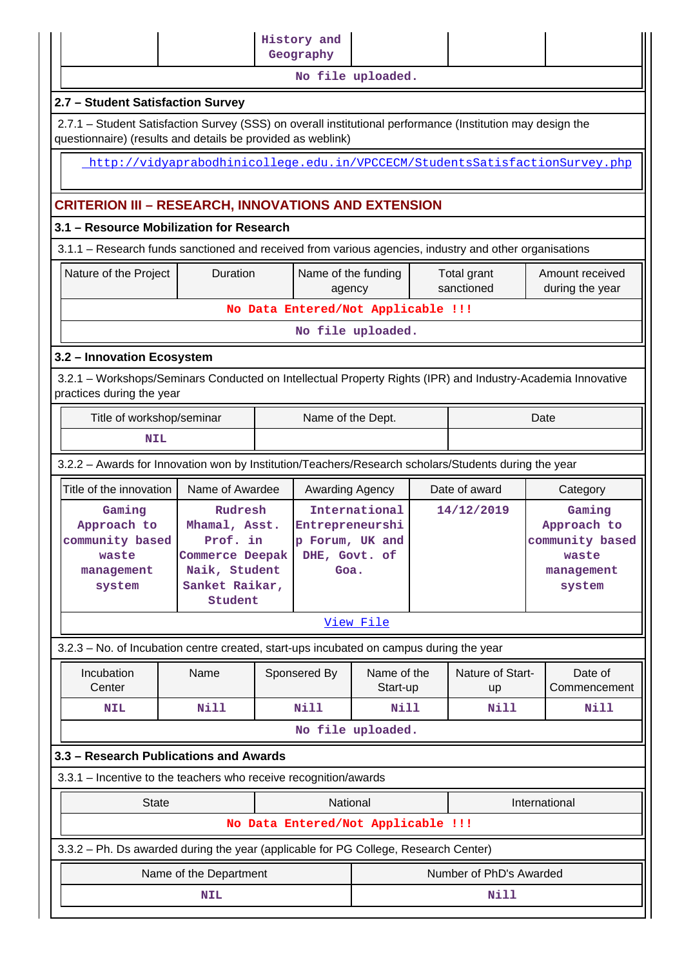|                                                                                                                                          |                                                                                                                                                                           |                                 |                         | History and<br>Geography           |                         |                 |                        |                                                                             |
|------------------------------------------------------------------------------------------------------------------------------------------|---------------------------------------------------------------------------------------------------------------------------------------------------------------------------|---------------------------------|-------------------------|------------------------------------|-------------------------|-----------------|------------------------|-----------------------------------------------------------------------------|
|                                                                                                                                          |                                                                                                                                                                           |                                 |                         |                                    | No file uploaded.       |                 |                        |                                                                             |
|                                                                                                                                          | 2.7 - Student Satisfaction Survey                                                                                                                                         |                                 |                         |                                    |                         |                 |                        |                                                                             |
|                                                                                                                                          | 2.7.1 - Student Satisfaction Survey (SSS) on overall institutional performance (Institution may design the<br>questionnaire) (results and details be provided as weblink) |                                 |                         |                                    |                         |                 |                        |                                                                             |
|                                                                                                                                          |                                                                                                                                                                           |                                 |                         |                                    |                         |                 |                        |                                                                             |
|                                                                                                                                          |                                                                                                                                                                           |                                 |                         |                                    |                         |                 |                        | http://vidyaprabodhinicollege.edu.in/VPCCECM/StudentsSatisfactionSurvey.php |
|                                                                                                                                          | <b>CRITERION III - RESEARCH, INNOVATIONS AND EXTENSION</b>                                                                                                                |                                 |                         |                                    |                         |                 |                        |                                                                             |
|                                                                                                                                          | 3.1 - Resource Mobilization for Research                                                                                                                                  |                                 |                         |                                    |                         |                 |                        |                                                                             |
|                                                                                                                                          | 3.1.1 - Research funds sanctioned and received from various agencies, industry and other organisations                                                                    |                                 |                         |                                    |                         |                 |                        |                                                                             |
|                                                                                                                                          | Duration<br>Name of the funding<br>Nature of the Project<br>Total grant<br>sanctioned<br>during the year<br>agency                                                        |                                 |                         |                                    |                         | Amount received |                        |                                                                             |
|                                                                                                                                          |                                                                                                                                                                           |                                 |                         | No Data Entered/Not Applicable !!! |                         |                 |                        |                                                                             |
| No file uploaded.                                                                                                                        |                                                                                                                                                                           |                                 |                         |                                    |                         |                 |                        |                                                                             |
|                                                                                                                                          | 3.2 - Innovation Ecosystem                                                                                                                                                |                                 |                         |                                    |                         |                 |                        |                                                                             |
| 3.2.1 - Workshops/Seminars Conducted on Intellectual Property Rights (IPR) and Industry-Academia Innovative<br>practices during the year |                                                                                                                                                                           |                                 |                         |                                    |                         |                 |                        |                                                                             |
|                                                                                                                                          | Title of workshop/seminar<br>Name of the Dept.<br>Date                                                                                                                    |                                 |                         |                                    |                         |                 |                        |                                                                             |
|                                                                                                                                          | <b>NIL</b>                                                                                                                                                                |                                 |                         |                                    |                         |                 |                        |                                                                             |
| 3.2.2 - Awards for Innovation won by Institution/Teachers/Research scholars/Students during the year                                     |                                                                                                                                                                           |                                 |                         |                                    |                         |                 |                        |                                                                             |
|                                                                                                                                          | Title of the innovation                                                                                                                                                   | Name of Awardee                 |                         | Awarding Agency                    |                         |                 | Date of award          | Category                                                                    |
|                                                                                                                                          | Gaming                                                                                                                                                                    | Rudresh                         |                         |                                    | International           | 14/12/2019      |                        | Gaming                                                                      |
|                                                                                                                                          | Approach to<br>community based                                                                                                                                            | Mhamal, Asst.<br>Prof. in       |                         | Entrepreneurshi<br>p Forum, UK and |                         |                 |                        | Approach to<br>community based                                              |
|                                                                                                                                          | waste                                                                                                                                                                     | Commerce Deepak                 |                         | DHE, Govt. of                      |                         |                 |                        | waste                                                                       |
|                                                                                                                                          | management                                                                                                                                                                | Naik, Student<br>Sanket Raikar, |                         | Goa.                               |                         |                 |                        | management                                                                  |
|                                                                                                                                          | system                                                                                                                                                                    | Student                         |                         |                                    |                         |                 |                        | system                                                                      |
|                                                                                                                                          |                                                                                                                                                                           |                                 |                         |                                    | View File               |                 |                        |                                                                             |
|                                                                                                                                          | 3.2.3 - No. of Incubation centre created, start-ups incubated on campus during the year                                                                                   |                                 |                         |                                    |                         |                 |                        |                                                                             |
|                                                                                                                                          | Incubation<br>Center                                                                                                                                                      | Name                            |                         | Sponsered By                       | Name of the<br>Start-up |                 | Nature of Start-<br>up | Date of<br>Commencement                                                     |
|                                                                                                                                          | NIL                                                                                                                                                                       | Nill                            |                         | <b>Nill</b>                        | <b>Nill</b>             |                 | <b>Nill</b>            | Nill                                                                        |
|                                                                                                                                          |                                                                                                                                                                           |                                 |                         |                                    | No file uploaded.       |                 |                        |                                                                             |
|                                                                                                                                          | 3.3 - Research Publications and Awards                                                                                                                                    |                                 |                         |                                    |                         |                 |                        |                                                                             |
|                                                                                                                                          | 3.3.1 - Incentive to the teachers who receive recognition/awards                                                                                                          |                                 |                         |                                    |                         |                 |                        |                                                                             |
|                                                                                                                                          | <b>State</b>                                                                                                                                                              |                                 |                         | National                           |                         |                 |                        | International                                                               |
|                                                                                                                                          |                                                                                                                                                                           |                                 |                         | No Data Entered/Not Applicable !!! |                         |                 |                        |                                                                             |
|                                                                                                                                          | 3.3.2 - Ph. Ds awarded during the year (applicable for PG College, Research Center)                                                                                       |                                 |                         |                                    |                         |                 |                        |                                                                             |
|                                                                                                                                          |                                                                                                                                                                           |                                 | Number of PhD's Awarded |                                    |                         |                 |                        |                                                                             |
|                                                                                                                                          |                                                                                                                                                                           | Name of the Department          |                         |                                    |                         |                 |                        |                                                                             |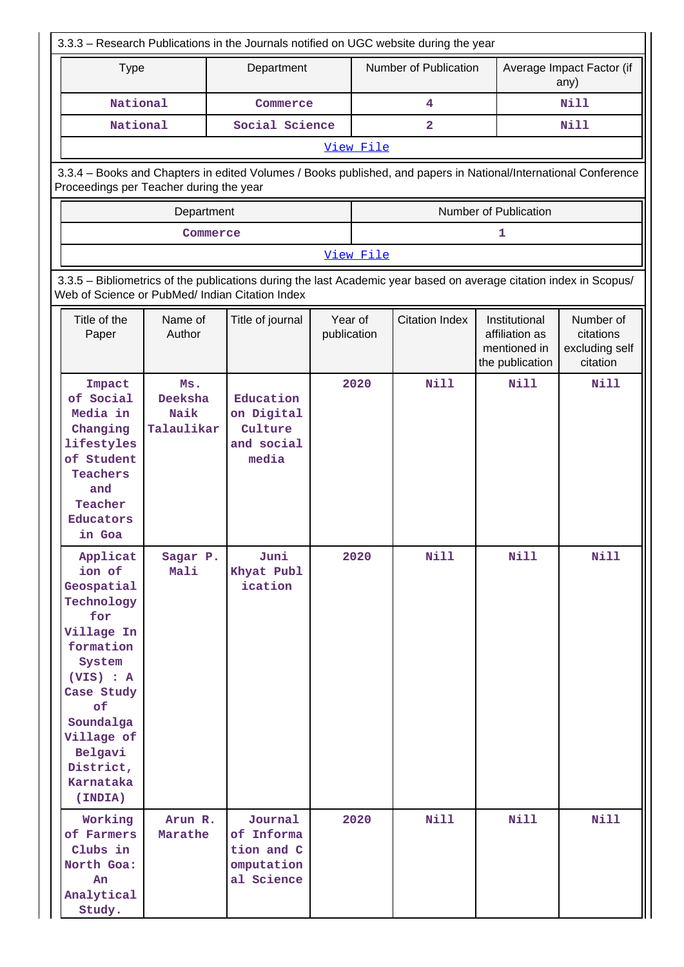| 3.3.3 - Research Publications in the Journals notified on UGC website during the year                                                                                                                    |                                      |                                                                                                                                                                       |                        |           |                       |                                                                    |                                                      |  |
|----------------------------------------------------------------------------------------------------------------------------------------------------------------------------------------------------------|--------------------------------------|-----------------------------------------------------------------------------------------------------------------------------------------------------------------------|------------------------|-----------|-----------------------|--------------------------------------------------------------------|------------------------------------------------------|--|
| <b>Type</b>                                                                                                                                                                                              |                                      | Department                                                                                                                                                            |                        |           | Number of Publication |                                                                    | Average Impact Factor (if<br>any)                    |  |
| National                                                                                                                                                                                                 |                                      | Commerce                                                                                                                                                              |                        |           | 4                     |                                                                    | Nill                                                 |  |
| National                                                                                                                                                                                                 |                                      | Social Science                                                                                                                                                        |                        |           | $\mathbf{2}$          |                                                                    | Nill                                                 |  |
|                                                                                                                                                                                                          |                                      |                                                                                                                                                                       |                        | View File |                       |                                                                    |                                                      |  |
| Proceedings per Teacher during the year                                                                                                                                                                  |                                      | 3.3.4 - Books and Chapters in edited Volumes / Books published, and papers in National/International Conference                                                       |                        |           |                       |                                                                    |                                                      |  |
|                                                                                                                                                                                                          | Department                           |                                                                                                                                                                       |                        |           |                       | Number of Publication                                              |                                                      |  |
|                                                                                                                                                                                                          |                                      | Commerce                                                                                                                                                              |                        |           |                       | 1                                                                  |                                                      |  |
|                                                                                                                                                                                                          |                                      |                                                                                                                                                                       |                        | View File |                       |                                                                    |                                                      |  |
|                                                                                                                                                                                                          |                                      | 3.3.5 - Bibliometrics of the publications during the last Academic year based on average citation index in Scopus/<br>Web of Science or PubMed/ Indian Citation Index |                        |           |                       |                                                                    |                                                      |  |
| Title of the<br>Paper                                                                                                                                                                                    | Name of<br>Author                    | Title of journal                                                                                                                                                      | Year of<br>publication |           | <b>Citation Index</b> | Institutional<br>affiliation as<br>mentioned in<br>the publication | Number of<br>citations<br>excluding self<br>citation |  |
| Impact<br>of Social<br>Media in<br>Changing<br>lifestyles<br>of Student<br><b>Teachers</b><br>and<br>Teacher<br>Educators<br>in Goa                                                                      | Ms.<br>Deeksha<br>Naik<br>Talaulikar | Education<br>on Digital<br>Culture<br>and social<br>media                                                                                                             |                        | 2020      | <b>Nill</b>           | <b>Nill</b>                                                        | Nill                                                 |  |
| Applicat<br>ion of<br>Geospatial<br>Technology<br>for<br>Village In<br>formation<br>System<br>$(VIS)$ : A<br>Case Study<br>of<br>Soundalga<br>Village of<br>Belgavi<br>District,<br>Karnataka<br>(INDIA) | Sagar P.<br>Mali                     | Juni<br>Khyat Publ<br>ication                                                                                                                                         |                        | 2020      | <b>Nill</b>           | <b>Nill</b>                                                        | <b>Nill</b>                                          |  |
| Working<br>of Farmers<br>Clubs in<br>North Goa:<br>An<br>Analytical<br>Study.                                                                                                                            | Arun R.<br>Marathe                   | Journal<br>of Informa<br>tion and C<br>omputation<br>al Science                                                                                                       |                        | 2020      | Nill                  | Nill                                                               | <b>Nill</b>                                          |  |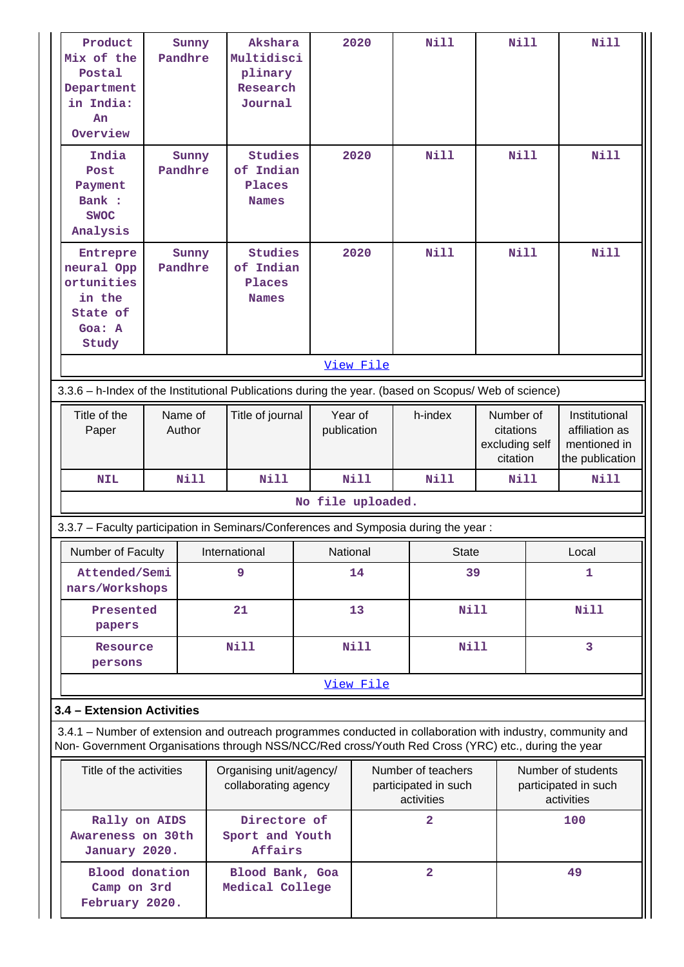| Product<br>Mix of the<br>Postal<br>Department<br>in India:<br>An<br>Overview                                                                                                                                       | Sunny<br>Pandhre  | Akshara<br>Multidisci<br>plinary<br>Research<br>Journal |                        | 2020      | <b>Nill</b>                                              | Nill                                                 |   | Nill                                                               |
|--------------------------------------------------------------------------------------------------------------------------------------------------------------------------------------------------------------------|-------------------|---------------------------------------------------------|------------------------|-----------|----------------------------------------------------------|------------------------------------------------------|---|--------------------------------------------------------------------|
| India<br>Post<br>Payment<br>Bank :<br><b>SWOC</b><br>Analysis                                                                                                                                                      | Sunny<br>Pandhre  | <b>Studies</b><br>of Indian<br>Places<br><b>Names</b>   |                        | 2020      | <b>Nill</b>                                              | <b>Nill</b>                                          |   | <b>Nill</b>                                                        |
| Entrepre<br>neural Opp<br>ortunities<br>in the<br>State of<br>Goa: A<br>Study                                                                                                                                      | Sunny<br>Pandhre  | <b>Studies</b><br>of Indian<br>Places<br><b>Names</b>   |                        | 2020      | <b>Nill</b>                                              | <b>Nill</b>                                          |   | <b>Nill</b>                                                        |
|                                                                                                                                                                                                                    |                   |                                                         |                        | View File |                                                          |                                                      |   |                                                                    |
| 3.3.6 - h-Index of the Institutional Publications during the year. (based on Scopus/ Web of science)                                                                                                               |                   |                                                         |                        |           |                                                          |                                                      |   |                                                                    |
| Title of the<br>Paper                                                                                                                                                                                              | Name of<br>Author | Title of journal                                        | Year of<br>publication |           | h-index                                                  | Number of<br>citations<br>excluding self<br>citation |   | Institutional<br>affiliation as<br>mentioned in<br>the publication |
| <b>NIL</b>                                                                                                                                                                                                         | <b>Nill</b>       | <b>Nill</b>                                             |                        | Nill      | Nill                                                     | Nill                                                 |   | Nill                                                               |
|                                                                                                                                                                                                                    |                   |                                                         | No file uploaded.      |           |                                                          |                                                      |   |                                                                    |
| 3.3.7 - Faculty participation in Seminars/Conferences and Symposia during the year:                                                                                                                                |                   |                                                         |                        |           |                                                          |                                                      |   |                                                                    |
| Number of Faculty                                                                                                                                                                                                  |                   | International                                           | National               |           | <b>State</b>                                             |                                                      |   | Local                                                              |
| Attended/Semi<br>nars/Workshops                                                                                                                                                                                    |                   | 9                                                       |                        | 14        | 39                                                       |                                                      | 1 |                                                                    |
| Presented<br>papers                                                                                                                                                                                                |                   | 21                                                      |                        | 13        | <b>Nill</b>                                              |                                                      |   | <b>Nill</b>                                                        |
| Resource<br>persons                                                                                                                                                                                                |                   | <b>Nill</b>                                             |                        | Nill      | Nill                                                     |                                                      |   | 3                                                                  |
|                                                                                                                                                                                                                    |                   |                                                         |                        | View File |                                                          |                                                      |   |                                                                    |
| 3.4 - Extension Activities                                                                                                                                                                                         |                   |                                                         |                        |           |                                                          |                                                      |   |                                                                    |
| 3.4.1 – Number of extension and outreach programmes conducted in collaboration with industry, community and<br>Non- Government Organisations through NSS/NCC/Red cross/Youth Red Cross (YRC) etc., during the year |                   |                                                         |                        |           |                                                          |                                                      |   |                                                                    |
| Title of the activities                                                                                                                                                                                            |                   | Organising unit/agency/<br>collaborating agency         |                        |           | Number of teachers<br>participated in such<br>activities |                                                      |   | Number of students<br>participated in such<br>activities           |
| Rally on AIDS<br>Awareness on 30th<br>January 2020.                                                                                                                                                                |                   | Directore of<br>Sport and Youth<br>Affairs              |                        |           | $\overline{\mathbf{2}}$                                  |                                                      |   | 100                                                                |
| <b>Blood</b> donation<br>Camp on 3rd<br>February 2020.                                                                                                                                                             |                   | Blood Bank, Goa<br>Medical College                      |                        |           | $\overline{2}$                                           |                                                      |   | 49                                                                 |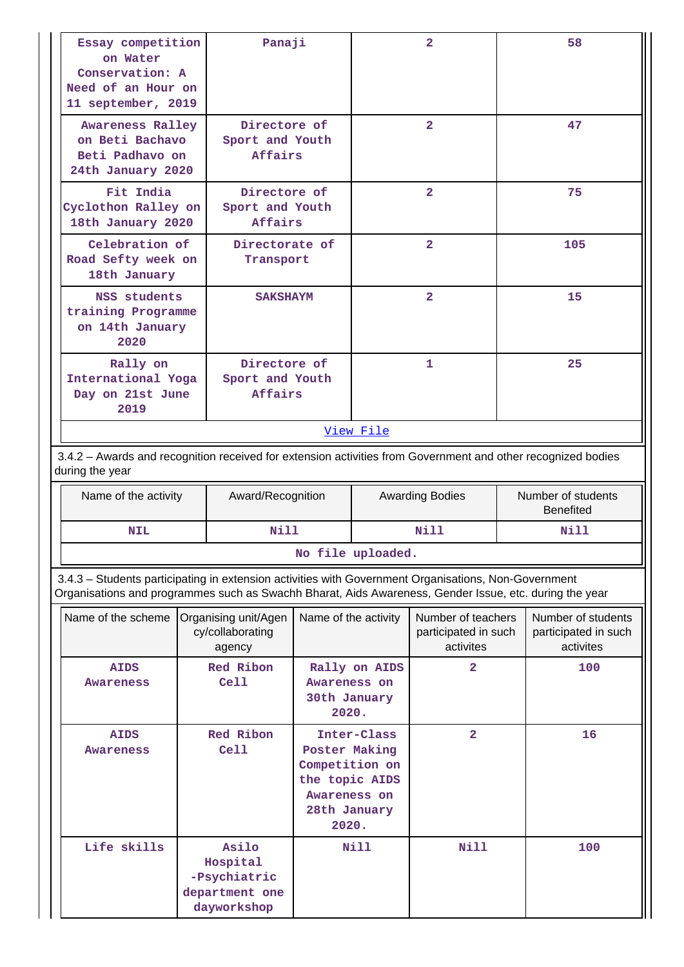| Essay competition<br>on Water<br>Conservation: A<br>Need of an Hour on<br>11 september, 2019                                                                                                                   |  | Panaji                                                             |                                                                                            |                                        | $\mathbf{2}$                                            |    | 58                                                      |
|----------------------------------------------------------------------------------------------------------------------------------------------------------------------------------------------------------------|--|--------------------------------------------------------------------|--------------------------------------------------------------------------------------------|----------------------------------------|---------------------------------------------------------|----|---------------------------------------------------------|
| Awareness Ralley<br>on Beti Bachavo<br>Beti Padhavo on<br>24th January 2020                                                                                                                                    |  | Directore of<br>Sport and Youth<br>Affairs                         |                                                                                            |                                        | $\overline{2}$                                          |    | 47                                                      |
| Fit India<br>Cyclothon Ralley on<br>18th January 2020                                                                                                                                                          |  | Directore of<br>Sport and Youth<br>Affairs                         |                                                                                            | $\overline{2}$                         |                                                         |    | 75                                                      |
| Celebration of<br>Road Sefty week on<br>18th January                                                                                                                                                           |  | Directorate of<br>Transport                                        |                                                                                            |                                        | $\overline{2}$                                          |    | 105                                                     |
| NSS students<br>training Programme<br>on 14th January<br>2020                                                                                                                                                  |  | <b>SAKSHAYM</b>                                                    |                                                                                            |                                        | $\overline{2}$                                          |    | 15                                                      |
| Rally on<br>International Yoga<br>Day on 21st June<br>2019                                                                                                                                                     |  | Directore of<br>Sport and Youth<br><b>Affairs</b>                  |                                                                                            |                                        | 1                                                       | 25 |                                                         |
|                                                                                                                                                                                                                |  |                                                                    |                                                                                            | View File                              |                                                         |    |                                                         |
| 3.4.2 - Awards and recognition received for extension activities from Government and other recognized bodies<br>during the year                                                                                |  |                                                                    |                                                                                            |                                        |                                                         |    |                                                         |
| Name of the activity                                                                                                                                                                                           |  | Award/Recognition                                                  |                                                                                            | <b>Awarding Bodies</b>                 |                                                         |    | Number of students<br><b>Benefited</b>                  |
| <b>NIL</b>                                                                                                                                                                                                     |  | N111                                                               |                                                                                            |                                        | Nill                                                    |    | Nill                                                    |
|                                                                                                                                                                                                                |  |                                                                    | No file uploaded.                                                                          |                                        |                                                         |    |                                                         |
| 3.4.3 - Students participating in extension activities with Government Organisations, Non-Government<br>Organisations and programmes such as Swachh Bharat, Aids Awareness, Gender Issue, etc. during the year |  |                                                                    |                                                                                            |                                        |                                                         |    |                                                         |
| Name of the scheme                                                                                                                                                                                             |  | Organising unit/Agen<br>cy/collaborating<br>agency                 | Name of the activity                                                                       |                                        | Number of teachers<br>participated in such<br>activites |    | Number of students<br>participated in such<br>activites |
| <b>AIDS</b><br><b>Awareness</b>                                                                                                                                                                                |  | Red Ribon<br>Ce11                                                  | Awareness on<br>30th January<br>2020.                                                      | Rally on AIDS                          | $\overline{a}$                                          |    | 100                                                     |
| <b>AIDS</b><br>Awareness                                                                                                                                                                                       |  | Red Ribon<br>Ce11                                                  | Poster Making<br>Competition on<br>the topic AIDS<br>Awareness on<br>28th January<br>2020. | $\overline{\mathbf{2}}$<br>Inter-Class |                                                         |    | 16                                                      |
| Life skills                                                                                                                                                                                                    |  | Asilo<br>Hospital<br>-Psychiatric<br>department one<br>dayworkshop |                                                                                            | Nill                                   | Nill                                                    |    | 100                                                     |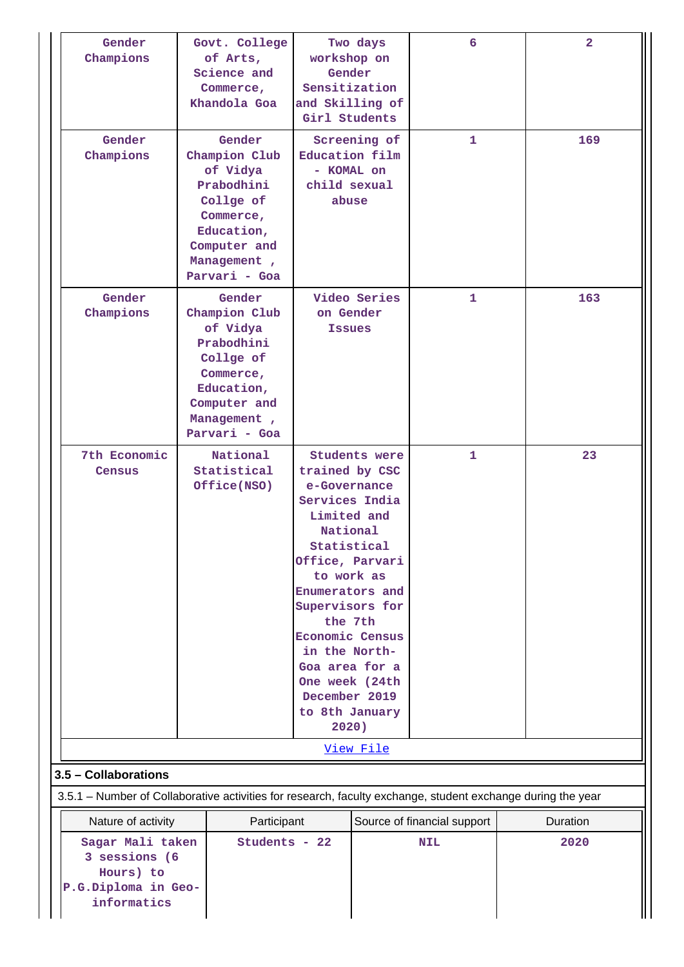| Gender<br>Champions                                                                                         | Govt. College<br>of Arts,<br>Science and<br>Commerce,<br>Khandola Goa                                                                     | Two days<br>workshop on<br>Gender<br>Sensitization<br>and Skilling of<br>Girl Students |                                                                                                                                                                                                                                                                                                             |                             | $\overline{a}$ |
|-------------------------------------------------------------------------------------------------------------|-------------------------------------------------------------------------------------------------------------------------------------------|----------------------------------------------------------------------------------------|-------------------------------------------------------------------------------------------------------------------------------------------------------------------------------------------------------------------------------------------------------------------------------------------------------------|-----------------------------|----------------|
| Gender<br>Champions                                                                                         | Gender<br>Champion Club<br>of Vidya<br>Prabodhini<br>Collge of<br>Commerce,<br>Education,<br>Computer and<br>Management,<br>Parvari - Goa |                                                                                        | Screening of<br>Education film<br>- KOMAL on<br>child sexual<br>abuse                                                                                                                                                                                                                                       | 1.                          | 169            |
| Gender<br>Champions                                                                                         | Gender<br>Champion Club<br>of Vidya<br>Prabodhini<br>Collge of<br>Commerce,<br>Education,<br>Computer and<br>Management,<br>Parvari - Goa |                                                                                        | Video Series<br>on Gender<br><b>Issues</b>                                                                                                                                                                                                                                                                  | 1                           | 163            |
| 7th Economic<br>Census                                                                                      | National<br>Statistical<br>Office(NSO)                                                                                                    | December 2019<br>2020)                                                                 | Students were<br>trained by CSC<br>e-Governance<br>Services India<br>Limited and<br>National<br>Statistical<br>Office, Parvari<br>to work as<br>Enumerators and<br>Supervisors for<br>the 7th<br><b>Economic Census</b><br>in the North-<br>Goa area for a<br>One week (24th<br>to 8th January<br>View File | 1                           | 23             |
| 3.5 - Collaborations                                                                                        |                                                                                                                                           |                                                                                        |                                                                                                                                                                                                                                                                                                             |                             |                |
| 3.5.1 – Number of Collaborative activities for research, faculty exchange, student exchange during the year |                                                                                                                                           |                                                                                        |                                                                                                                                                                                                                                                                                                             |                             |                |
| Nature of activity                                                                                          | Participant                                                                                                                               |                                                                                        |                                                                                                                                                                                                                                                                                                             | Source of financial support | Duration       |
| Sagar Mali taken<br>3 sessions (6<br>Hours) to<br>P.G.Diploma in Geo-<br>informatics                        |                                                                                                                                           | Students - 22                                                                          |                                                                                                                                                                                                                                                                                                             | <b>NIL</b>                  | 2020           |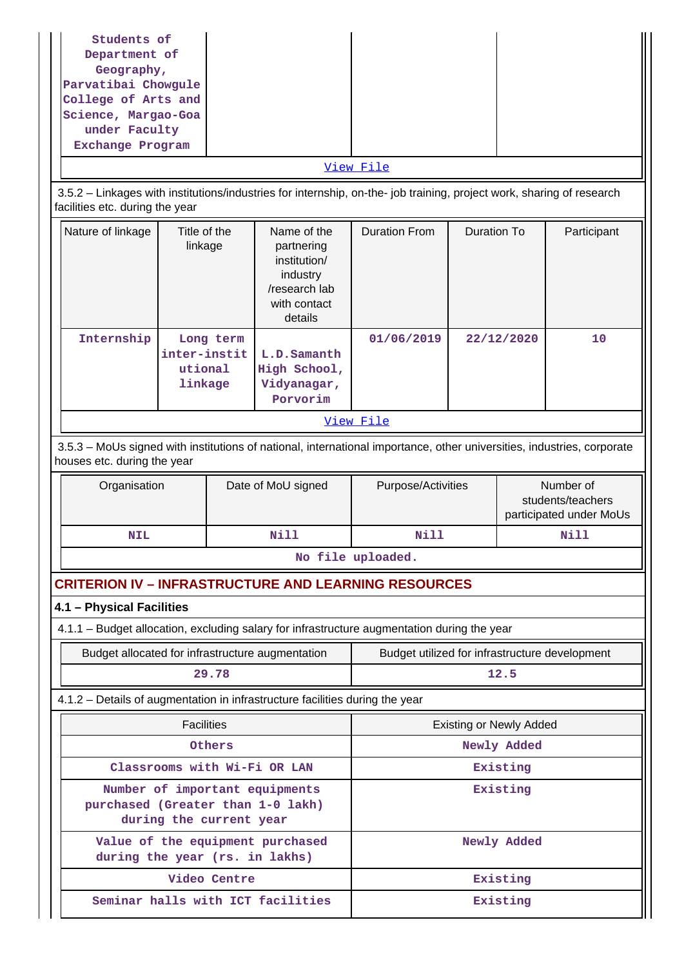| Students of<br>Department of<br>Geography,<br>Parvatibai Chowgule<br>College of Arts and<br>Science, Margao-Goa<br>under Faculty<br>Exchange Program  |                                                 |              |                                                                                                   |                                                                                                                       |                    |                                |                                                           |
|-------------------------------------------------------------------------------------------------------------------------------------------------------|-------------------------------------------------|--------------|---------------------------------------------------------------------------------------------------|-----------------------------------------------------------------------------------------------------------------------|--------------------|--------------------------------|-----------------------------------------------------------|
|                                                                                                                                                       |                                                 |              |                                                                                                   | View File                                                                                                             |                    |                                |                                                           |
| facilities etc. during the year                                                                                                                       |                                                 |              |                                                                                                   | 3.5.2 - Linkages with institutions/industries for internship, on-the- job training, project work, sharing of research |                    |                                |                                                           |
| Nature of linkage                                                                                                                                     | Title of the<br>linkage                         |              | Name of the<br>partnering<br>institution/<br>industry<br>/research lab<br>with contact<br>details | <b>Duration From</b>                                                                                                  | <b>Duration To</b> |                                | Participant                                               |
| Internship                                                                                                                                            | Long term<br>inter-instit<br>utional<br>linkage |              | L.D.Samanth<br>High School,<br>Vidyanagar,<br>Porvorim                                            | 01/06/2019                                                                                                            |                    | 22/12/2020                     | 10                                                        |
|                                                                                                                                                       |                                                 |              |                                                                                                   | View File                                                                                                             |                    |                                |                                                           |
| 3.5.3 - MoUs signed with institutions of national, international importance, other universities, industries, corporate<br>houses etc. during the year |                                                 |              |                                                                                                   |                                                                                                                       |                    |                                |                                                           |
| Organisation                                                                                                                                          |                                                 |              |                                                                                                   |                                                                                                                       |                    |                                |                                                           |
|                                                                                                                                                       |                                                 |              | Date of MoU signed                                                                                | Purpose/Activities                                                                                                    |                    |                                | Number of<br>students/teachers<br>participated under MoUs |
| <b>NIL</b>                                                                                                                                            |                                                 |              | Nill                                                                                              | Nill                                                                                                                  |                    |                                | Nill                                                      |
|                                                                                                                                                       |                                                 |              |                                                                                                   | No file uploaded.                                                                                                     |                    |                                |                                                           |
|                                                                                                                                                       |                                                 |              |                                                                                                   | <b>CRITERION IV - INFRASTRUCTURE AND LEARNING RESOURCES</b>                                                           |                    |                                |                                                           |
| 4.1 - Physical Facilities                                                                                                                             |                                                 |              |                                                                                                   |                                                                                                                       |                    |                                |                                                           |
|                                                                                                                                                       |                                                 |              |                                                                                                   | 4.1.1 - Budget allocation, excluding salary for infrastructure augmentation during the year                           |                    |                                |                                                           |
| Budget allocated for infrastructure augmentation                                                                                                      |                                                 |              |                                                                                                   | Budget utilized for infrastructure development                                                                        |                    |                                |                                                           |
|                                                                                                                                                       |                                                 | 29.78        |                                                                                                   |                                                                                                                       |                    | 12.5                           |                                                           |
|                                                                                                                                                       |                                                 |              | 4.1.2 - Details of augmentation in infrastructure facilities during the year                      |                                                                                                                       |                    |                                |                                                           |
|                                                                                                                                                       | <b>Facilities</b>                               |              |                                                                                                   |                                                                                                                       |                    | <b>Existing or Newly Added</b> |                                                           |
|                                                                                                                                                       |                                                 | Others       |                                                                                                   |                                                                                                                       |                    | Newly Added                    |                                                           |
| purchased (Greater than 1-0 lakh)                                                                                                                     | during the current year                         |              | Classrooms with Wi-Fi OR LAN<br>Number of important equipments                                    |                                                                                                                       |                    | Existing<br>Existing           |                                                           |
| during the year (rs. in lakhs)                                                                                                                        |                                                 |              | Value of the equipment purchased                                                                  |                                                                                                                       |                    | Newly Added                    |                                                           |
|                                                                                                                                                       |                                                 | Video Centre |                                                                                                   |                                                                                                                       |                    | Existing                       |                                                           |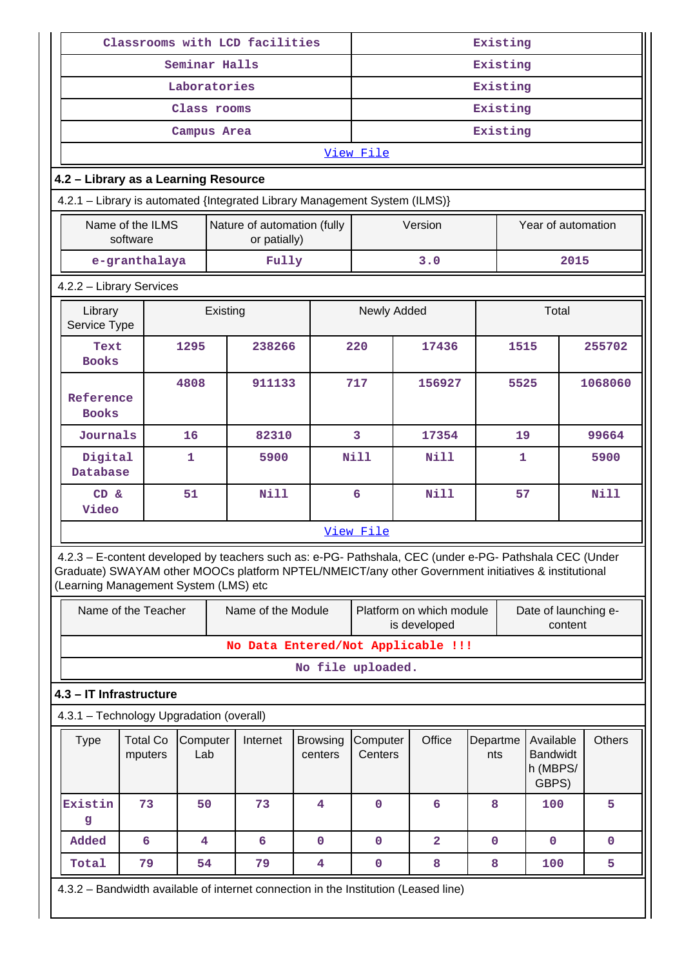|                                                                                                                                                                                                                                                         | Classrooms with LCD facilities                                             |                         |                                             |                                    |                            |  | Existing            |        |                                          |                 |              |                                                   |         |               |
|---------------------------------------------------------------------------------------------------------------------------------------------------------------------------------------------------------------------------------------------------------|----------------------------------------------------------------------------|-------------------------|---------------------------------------------|------------------------------------|----------------------------|--|---------------------|--------|------------------------------------------|-----------------|--------------|---------------------------------------------------|---------|---------------|
|                                                                                                                                                                                                                                                         |                                                                            | Seminar Halls           |                                             |                                    |                            |  |                     |        |                                          | Existing        |              |                                                   |         |               |
|                                                                                                                                                                                                                                                         |                                                                            | Laboratories            |                                             |                                    |                            |  |                     |        |                                          | Existing        |              |                                                   |         |               |
|                                                                                                                                                                                                                                                         |                                                                            | Class rooms             |                                             |                                    |                            |  |                     |        |                                          | Existing        |              |                                                   |         |               |
|                                                                                                                                                                                                                                                         |                                                                            | Campus Area             |                                             |                                    |                            |  | Existing            |        |                                          |                 |              |                                                   |         |               |
|                                                                                                                                                                                                                                                         |                                                                            |                         |                                             |                                    |                            |  | View File           |        |                                          |                 |              |                                                   |         |               |
| 4.2 - Library as a Learning Resource                                                                                                                                                                                                                    |                                                                            |                         |                                             |                                    |                            |  |                     |        |                                          |                 |              |                                                   |         |               |
|                                                                                                                                                                                                                                                         | 4.2.1 - Library is automated {Integrated Library Management System (ILMS)} |                         |                                             |                                    |                            |  |                     |        |                                          |                 |              |                                                   |         |               |
|                                                                                                                                                                                                                                                         | Name of the ILMS<br>software                                               |                         | Nature of automation (fully<br>or patially) |                                    |                            |  |                     |        | Version                                  |                 |              | Year of automation                                |         |               |
|                                                                                                                                                                                                                                                         | e-granthalaya                                                              |                         |                                             | Fully                              |                            |  |                     |        | 3.0                                      |                 |              |                                                   | 2015    |               |
| 4.2.2 - Library Services                                                                                                                                                                                                                                |                                                                            |                         |                                             |                                    |                            |  |                     |        |                                          |                 |              |                                                   |         |               |
| Library<br>Service Type                                                                                                                                                                                                                                 |                                                                            |                         | Existing                                    |                                    |                            |  | Newly Added         |        |                                          |                 |              | Total                                             |         |               |
| Text<br><b>Books</b>                                                                                                                                                                                                                                    |                                                                            | 1295                    |                                             | 238266                             |                            |  | 220                 | 17436  |                                          |                 | 1515         |                                                   |         | 255702        |
| Reference<br><b>Books</b>                                                                                                                                                                                                                               |                                                                            | 4808                    |                                             | 911133                             |                            |  | 717                 | 156927 |                                          |                 | 5525         |                                                   |         | 1068060       |
| Journals                                                                                                                                                                                                                                                |                                                                            | 16                      |                                             | 82310                              |                            |  | $\overline{3}$      | 17354  |                                          |                 | 19           |                                                   |         | 99664         |
| Digital<br>Database                                                                                                                                                                                                                                     |                                                                            | $\mathbf{1}$            |                                             | 5900                               |                            |  | <b>Nill</b>         |        | <b>Nill</b>                              |                 | $\mathbf{1}$ |                                                   |         | 5900          |
| $CD \&$<br>Video                                                                                                                                                                                                                                        |                                                                            | 51                      |                                             | Nill                               |                            |  | 6                   |        | N111                                     |                 | 57           |                                                   |         | Nill          |
|                                                                                                                                                                                                                                                         |                                                                            |                         |                                             |                                    |                            |  | View File           |        |                                          |                 |              |                                                   |         |               |
| 4.2.3 - E-content developed by teachers such as: e-PG- Pathshala, CEC (under e-PG- Pathshala CEC (Under<br>Graduate) SWAYAM other MOOCs platform NPTEL/NMEICT/any other Government initiatives & institutional<br>(Learning Management System (LMS) etc |                                                                            |                         |                                             |                                    |                            |  |                     |        |                                          |                 |              |                                                   |         |               |
|                                                                                                                                                                                                                                                         | Name of the Teacher                                                        |                         |                                             | Name of the Module                 |                            |  |                     |        | Platform on which module<br>is developed |                 |              | Date of launching e-                              | content |               |
|                                                                                                                                                                                                                                                         |                                                                            |                         |                                             | No Data Entered/Not Applicable !!! |                            |  |                     |        |                                          |                 |              |                                                   |         |               |
|                                                                                                                                                                                                                                                         |                                                                            |                         |                                             |                                    |                            |  | No file uploaded.   |        |                                          |                 |              |                                                   |         |               |
| 4.3 - IT Infrastructure                                                                                                                                                                                                                                 |                                                                            |                         |                                             |                                    |                            |  |                     |        |                                          |                 |              |                                                   |         |               |
| 4.3.1 - Technology Upgradation (overall)                                                                                                                                                                                                                |                                                                            |                         |                                             |                                    |                            |  |                     |        |                                          |                 |              |                                                   |         |               |
| <b>Type</b>                                                                                                                                                                                                                                             | <b>Total Co</b><br>mputers                                                 | Computer<br>Lab         |                                             | Internet                           | <b>Browsing</b><br>centers |  | Computer<br>Centers |        | Office                                   | Departme<br>nts |              | Available<br><b>Bandwidt</b><br>h (MBPS/<br>GBPS) |         | <b>Others</b> |
| Existin<br>g                                                                                                                                                                                                                                            | 73                                                                         | 50                      |                                             | 73                                 | 4                          |  | $\mathbf 0$         |        | 6                                        | 8               |              | 100                                               |         | 5             |
| Added                                                                                                                                                                                                                                                   | 6                                                                          | $\overline{\mathbf{4}}$ |                                             | 6                                  | $\mathbf 0$                |  | $\mathbf 0$         |        | $\overline{a}$                           | $\mathbf 0$     |              | $\mathbf 0$                                       |         | $\mathbf 0$   |
| Total                                                                                                                                                                                                                                                   | 79                                                                         | 54                      |                                             | 79                                 | $\overline{\mathbf{4}}$    |  | $\pmb{0}$           |        | 8                                        | 8               |              | 100                                               |         | 5             |
| 4.3.2 - Bandwidth available of internet connection in the Institution (Leased line)                                                                                                                                                                     |                                                                            |                         |                                             |                                    |                            |  |                     |        |                                          |                 |              |                                                   |         |               |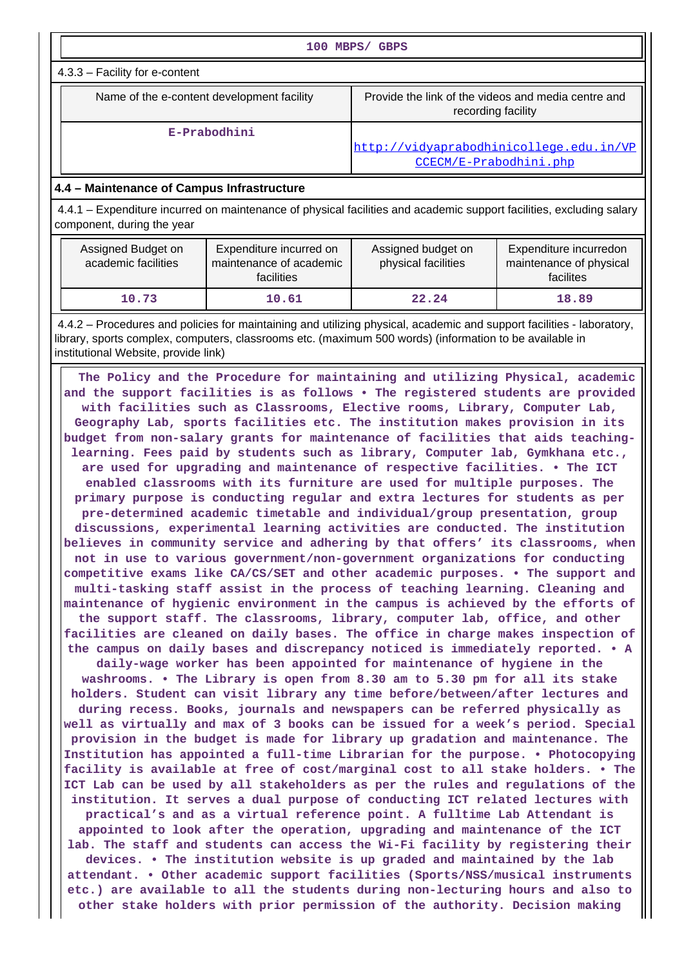| 100 MBPS/ GBPS                                                                                                                                                                                                                                                                                                                                                                                                                                                                                                                                                                                                                                              |              |                                                                                                                                                                                                                                                                                                                                                                                                                                                                                                                                                                                                                                                                                                                                                                                                                                                                                                                 |                                                                |  |  |  |  |
|-------------------------------------------------------------------------------------------------------------------------------------------------------------------------------------------------------------------------------------------------------------------------------------------------------------------------------------------------------------------------------------------------------------------------------------------------------------------------------------------------------------------------------------------------------------------------------------------------------------------------------------------------------------|--------------|-----------------------------------------------------------------------------------------------------------------------------------------------------------------------------------------------------------------------------------------------------------------------------------------------------------------------------------------------------------------------------------------------------------------------------------------------------------------------------------------------------------------------------------------------------------------------------------------------------------------------------------------------------------------------------------------------------------------------------------------------------------------------------------------------------------------------------------------------------------------------------------------------------------------|----------------------------------------------------------------|--|--|--|--|
| 4.3.3 - Facility for e-content                                                                                                                                                                                                                                                                                                                                                                                                                                                                                                                                                                                                                              |              |                                                                                                                                                                                                                                                                                                                                                                                                                                                                                                                                                                                                                                                                                                                                                                                                                                                                                                                 |                                                                |  |  |  |  |
| Name of the e-content development facility                                                                                                                                                                                                                                                                                                                                                                                                                                                                                                                                                                                                                  |              | Provide the link of the videos and media centre and<br>recording facility                                                                                                                                                                                                                                                                                                                                                                                                                                                                                                                                                                                                                                                                                                                                                                                                                                       |                                                                |  |  |  |  |
|                                                                                                                                                                                                                                                                                                                                                                                                                                                                                                                                                                                                                                                             | E-Prabodhini | http://vidyaprabodhinicollege.edu.in/VP<br>CCECM/E-Prabodhini.php                                                                                                                                                                                                                                                                                                                                                                                                                                                                                                                                                                                                                                                                                                                                                                                                                                               |                                                                |  |  |  |  |
| 4.4 - Maintenance of Campus Infrastructure                                                                                                                                                                                                                                                                                                                                                                                                                                                                                                                                                                                                                  |              |                                                                                                                                                                                                                                                                                                                                                                                                                                                                                                                                                                                                                                                                                                                                                                                                                                                                                                                 |                                                                |  |  |  |  |
| 4.4.1 – Expenditure incurred on maintenance of physical facilities and academic support facilities, excluding salary<br>component, during the year                                                                                                                                                                                                                                                                                                                                                                                                                                                                                                          |              |                                                                                                                                                                                                                                                                                                                                                                                                                                                                                                                                                                                                                                                                                                                                                                                                                                                                                                                 |                                                                |  |  |  |  |
| Assigned Budget on<br>Expenditure incurred on<br>academic facilities<br>maintenance of academic<br>facilities                                                                                                                                                                                                                                                                                                                                                                                                                                                                                                                                               |              | Assigned budget on<br>physical facilities                                                                                                                                                                                                                                                                                                                                                                                                                                                                                                                                                                                                                                                                                                                                                                                                                                                                       | Expenditure incurredon<br>maintenance of physical<br>facilites |  |  |  |  |
| 10.73                                                                                                                                                                                                                                                                                                                                                                                                                                                                                                                                                                                                                                                       | 10.61        | 22.24                                                                                                                                                                                                                                                                                                                                                                                                                                                                                                                                                                                                                                                                                                                                                                                                                                                                                                           | 18.89                                                          |  |  |  |  |
| 4.4.2 – Procedures and policies for maintaining and utilizing physical, academic and support facilities - laboratory,<br>library, sports complex, computers, classrooms etc. (maximum 500 words) (information to be available in<br>institutional Website, provide link)                                                                                                                                                                                                                                                                                                                                                                                    |              |                                                                                                                                                                                                                                                                                                                                                                                                                                                                                                                                                                                                                                                                                                                                                                                                                                                                                                                 |                                                                |  |  |  |  |
| maintenance of hygienic environment in the campus is achieved by the efforts of<br>the support staff. The classrooms, library, computer lab, office, and other<br>facilities are cleaned on daily bases. The office in charge makes inspection of<br>the campus on daily bases and discrepancy noticed is immediately reported. • A<br>daily-wage worker has been appointed for maintenance of hygiene in the<br>washrooms. . The Library is open from 8.30 am to 5.30 pm for all its stake<br>holders. Student can visit library any time before/between/after lectures and<br>during recess. Books, journals and newspapers can be referred physically as |              | budget from non-salary grants for maintenance of facilities that aids teaching-<br>learning. Fees paid by students such as library, Computer lab, Gymkhana etc.,<br>are used for upgrading and maintenance of respective facilities. . The ICT<br>enabled classrooms with its furniture are used for multiple purposes. The<br>primary purpose is conducting regular and extra lectures for students as per<br>pre-determined academic timetable and individual/group presentation, group<br>discussions, experimental learning activities are conducted. The institution<br>believes in community service and adhering by that offers' its classrooms, when<br>not in use to various government/non-government organizations for conducting<br>competitive exams like CA/CS/SET and other academic purposes. • The support and<br>multi-tasking staff assist in the process of teaching learning. Cleaning and |                                                                |  |  |  |  |

**lab. The staff and students can access the Wi-Fi facility by registering their devices. • The institution website is up graded and maintained by the lab attendant. • Other academic support facilities (Sports/NSS/musical instruments etc.) are available to all the students during non-lecturing hours and also to other stake holders with prior permission of the authority. Decision making**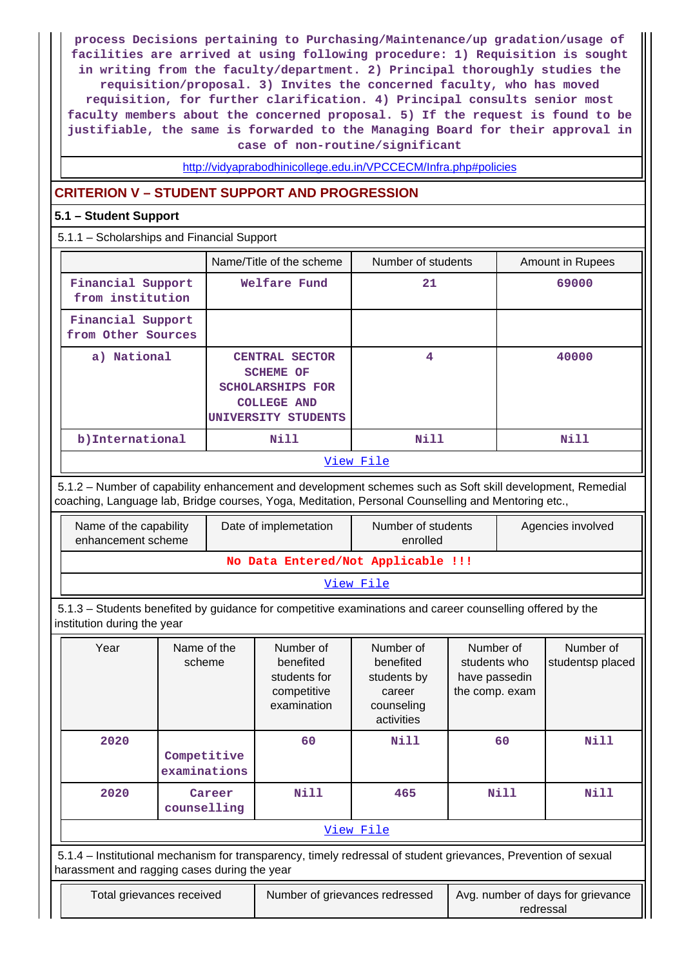**process Decisions pertaining to Purchasing/Maintenance/up gradation/usage of facilities are arrived at using following procedure: 1) Requisition is sought in writing from the faculty/department. 2) Principal thoroughly studies the requisition/proposal. 3) Invites the concerned faculty, who has moved requisition, for further clarification. 4) Principal consults senior most faculty members about the concerned proposal. 5) If the request is found to be justifiable, the same is forwarded to the Managing Board for their approval in case of non-routine/significant**

<http://vidyaprabodhinicollege.edu.in/VPCCECM/Infra.php#policies>

## **CRITERION V – STUDENT SUPPORT AND PROGRESSION**

## **5.1 – Student Support**

5.1.1 – Scholarships and Financial Support

|                                         | Name/Title of the scheme                                                                                          | Number of students | Amount in Rupees |
|-----------------------------------------|-------------------------------------------------------------------------------------------------------------------|--------------------|------------------|
| Financial Support<br>from institution   | Welfare Fund                                                                                                      | 21                 | 69000            |
| Financial Support<br>from Other Sources |                                                                                                                   |                    |                  |
| a) National                             | <b>CENTRAL SECTOR</b><br><b>SCHEME OF</b><br><b>SCHOLARSHIPS FOR</b><br><b>COLLEGE AND</b><br>UNIVERSITY STUDENTS | 4                  | 40000            |
| b) International                        | Nill                                                                                                              | Nill               | Nill             |
|                                         |                                                                                                                   | View File          |                  |

 5.1.2 – Number of capability enhancement and development schemes such as Soft skill development, Remedial coaching, Language lab, Bridge courses, Yoga, Meditation, Personal Counselling and Mentoring etc.,

| Date of implemetation<br>Name of the capability<br>enhancement scheme |                                    | Number of students<br>enrolled | Agencies involved |  |  |  |  |  |
|-----------------------------------------------------------------------|------------------------------------|--------------------------------|-------------------|--|--|--|--|--|
|                                                                       | No Data Entered/Not Applicable !!! |                                |                   |  |  |  |  |  |
| View File                                                             |                                    |                                |                   |  |  |  |  |  |

 5.1.3 – Students benefited by guidance for competitive examinations and career counselling offered by the institution during the year

| Year                                                                                                                                                           | Name of the<br>scheme       | Number of<br>benefited<br>students for<br>competitive<br>examination | Number of<br>benefited<br>students by<br>career<br>counseling<br>activities | Number of<br>students who<br>have passedin<br>the comp. exam | Number of<br>studentsp placed |  |  |
|----------------------------------------------------------------------------------------------------------------------------------------------------------------|-----------------------------|----------------------------------------------------------------------|-----------------------------------------------------------------------------|--------------------------------------------------------------|-------------------------------|--|--|
| 2020                                                                                                                                                           | Competitive<br>examinations | 60                                                                   | <b>Nill</b>                                                                 | 60                                                           | Nill                          |  |  |
| 2020                                                                                                                                                           | Career<br>counselling       | Nill                                                                 | 465                                                                         | Nill                                                         | Nill                          |  |  |
| View File                                                                                                                                                      |                             |                                                                      |                                                                             |                                                              |                               |  |  |
| 5.1.4 – Institutional mechanism for transparency, timely redressal of student grievances, Prevention of sexual<br>harassment and ragging cases during the year |                             |                                                                      |                                                                             |                                                              |                               |  |  |
| Total grievances received<br>Avg. number of days for grievance<br>Number of grievances redressed                                                               |                             |                                                                      |                                                                             |                                                              |                               |  |  |

redressal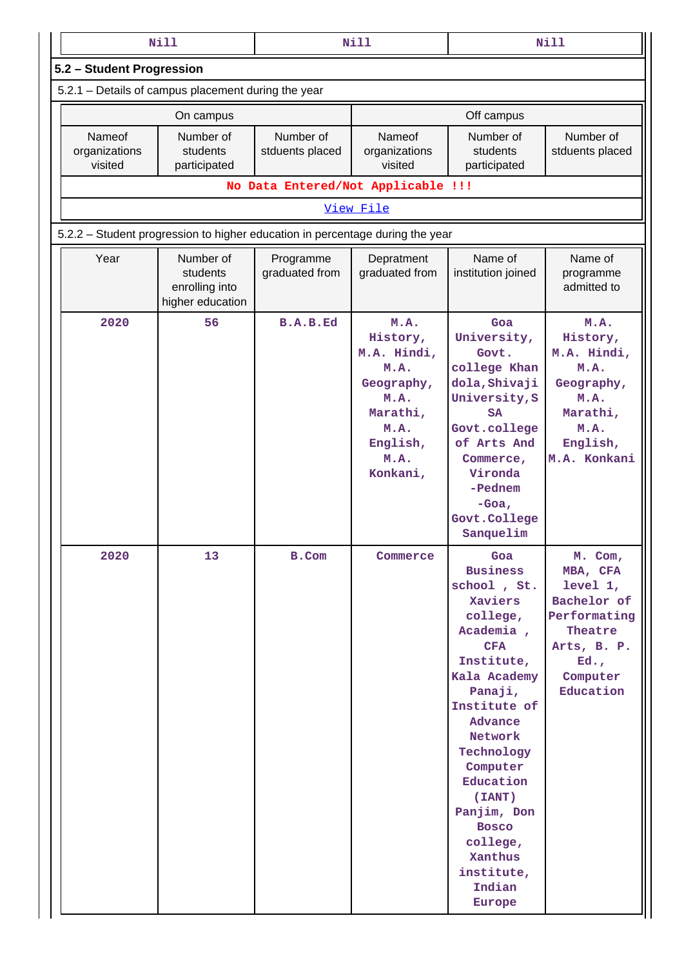|                                    | <b>Nill</b>                                                                   |                                    | <b>Nill</b>                                                                                                       |                                                                                                                                                                                                                                                                                                                        | <b>Nill</b>                                                                                                              |
|------------------------------------|-------------------------------------------------------------------------------|------------------------------------|-------------------------------------------------------------------------------------------------------------------|------------------------------------------------------------------------------------------------------------------------------------------------------------------------------------------------------------------------------------------------------------------------------------------------------------------------|--------------------------------------------------------------------------------------------------------------------------|
| 5.2 - Student Progression          |                                                                               |                                    |                                                                                                                   |                                                                                                                                                                                                                                                                                                                        |                                                                                                                          |
|                                    | 5.2.1 - Details of campus placement during the year                           |                                    |                                                                                                                   |                                                                                                                                                                                                                                                                                                                        |                                                                                                                          |
|                                    | On campus                                                                     |                                    |                                                                                                                   | Off campus                                                                                                                                                                                                                                                                                                             |                                                                                                                          |
| Nameof<br>organizations<br>visited | Number of<br>students<br>participated                                         | Number of<br>stduents placed       | Nameof<br>organizations<br>visited                                                                                | Number of<br>students<br>participated                                                                                                                                                                                                                                                                                  | Number of<br>stduents placed                                                                                             |
|                                    |                                                                               | No Data Entered/Not Applicable !!! |                                                                                                                   |                                                                                                                                                                                                                                                                                                                        |                                                                                                                          |
|                                    |                                                                               |                                    | View File                                                                                                         |                                                                                                                                                                                                                                                                                                                        |                                                                                                                          |
|                                    | 5.2.2 – Student progression to higher education in percentage during the year |                                    |                                                                                                                   |                                                                                                                                                                                                                                                                                                                        |                                                                                                                          |
| Year                               | Number of<br>students<br>enrolling into<br>higher education                   | Programme<br>graduated from        | Depratment<br>graduated from                                                                                      | Name of<br>institution joined                                                                                                                                                                                                                                                                                          | Name of<br>programme<br>admitted to                                                                                      |
| 2020                               | 56                                                                            | <b>B.A.B.Ed</b>                    | M.A.<br>History,<br>M.A. Hindi,<br>M.A.<br>Geography,<br>M.A.<br>Marathi,<br>M.A.<br>English,<br>M.A.<br>Konkani, | Goa<br>University,<br>Govt.<br>college Khan<br>dola, Shivaji<br>University, S<br><b>SA</b><br>Govt.college<br>of Arts And<br>Commerce,<br>Vironda<br>-Pednem<br>$-Goa.$<br>Govt.College<br>Sanquelim                                                                                                                   | M.A.<br>History,<br>M.A. Hindi,<br>M.A.<br>Geography,<br>M.A.<br>Marathi,<br>M.A.<br>English,<br>M.A. Konkani            |
| 2020                               | 13                                                                            | B.Com                              | Commerce                                                                                                          | Goa<br><b>Business</b><br>school, St.<br>Xaviers<br>college,<br>Academia,<br><b>CFA</b><br>Institute,<br>Kala Academy<br>Panaji,<br>Institute of<br>Advance<br>Network<br>Technology<br>Computer<br>Education<br>(IANT)<br>Panjim, Don<br><b>Bosco</b><br>college,<br>Xanthus<br>institute,<br>Indian<br><b>Europe</b> | M. Com,<br>MBA, CFA<br>level 1,<br>Bachelor of<br>Performating<br>Theatre<br>Arts, B. P.<br>Ed.<br>Computer<br>Education |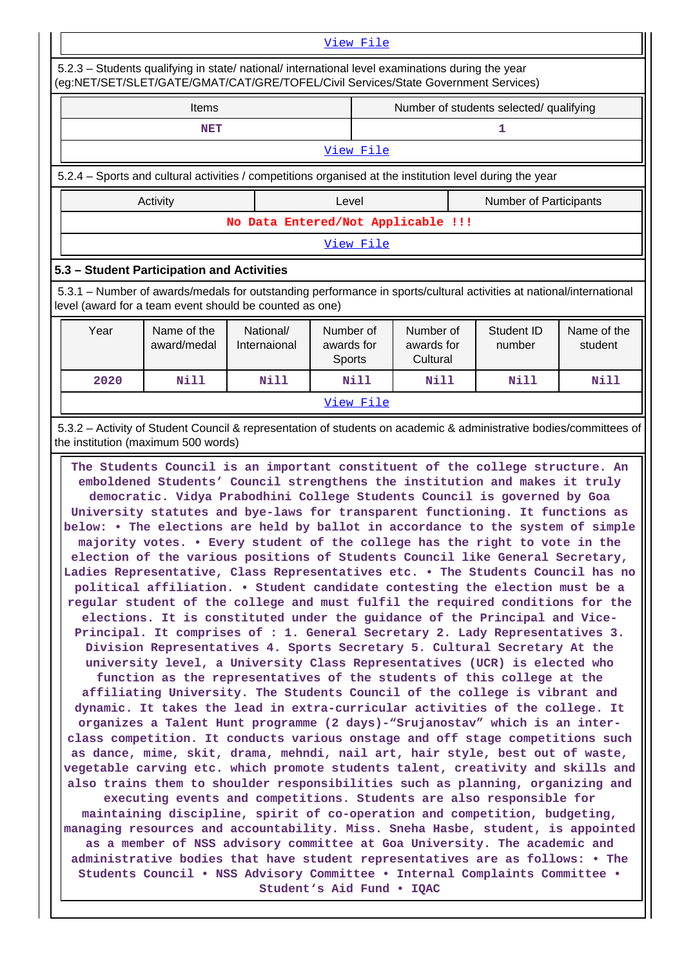# [View File](https://assessmentonline.naac.gov.in/public/Postacc/Progression/7844_Progression_1608536495.xls) 5.2.3 – Students qualifying in state/ national/ international level examinations during the year (eg:NET/SET/SLET/GATE/GMAT/CAT/GRE/TOFEL/Civil Services/State Government Services)

| <b>Items</b>                                                                                                                                                                   |           |                                    | Number of students selected/ qualifying |  |  |  |  |  |
|--------------------------------------------------------------------------------------------------------------------------------------------------------------------------------|-----------|------------------------------------|-----------------------------------------|--|--|--|--|--|
| NET                                                                                                                                                                            |           |                                    |                                         |  |  |  |  |  |
|                                                                                                                                                                                | View File |                                    |                                         |  |  |  |  |  |
| 5.2.4 – Sports and cultural activities / competitions organised at the institution level during the year                                                                       |           |                                    |                                         |  |  |  |  |  |
| Activity                                                                                                                                                                       | Level     |                                    | <b>Number of Participants</b>           |  |  |  |  |  |
|                                                                                                                                                                                |           | No Data Entered/Not Applicable !!! |                                         |  |  |  |  |  |
|                                                                                                                                                                                |           | View File                          |                                         |  |  |  |  |  |
| 5.3 - Student Participation and Activities                                                                                                                                     |           |                                    |                                         |  |  |  |  |  |
| 5.3.1 – Number of awards/medals for outstanding performance in sports/cultural activities at national/international<br>level (award for a team event should be counted as one) |           |                                    |                                         |  |  |  |  |  |

| Year      | Name of the<br>award/medal | National/<br>Internaional | Number of<br>awards for<br><b>Sports</b> | Number of<br>awards for<br>Cultural | Student ID<br>number | Name of the<br>student |  |  |  |
|-----------|----------------------------|---------------------------|------------------------------------------|-------------------------------------|----------------------|------------------------|--|--|--|
| 2020      | Nill<br>Nill               |                           | Nill<br>Nill                             |                                     | Nill                 | Nill                   |  |  |  |
| View File |                            |                           |                                          |                                     |                      |                        |  |  |  |

 5.3.2 – Activity of Student Council & representation of students on academic & administrative bodies/committees of the institution (maximum 500 words)

 **The Students Council is an important constituent of the college structure. An emboldened Students' Council strengthens the institution and makes it truly democratic. Vidya Prabodhini College Students Council is governed by Goa University statutes and bye-laws for transparent functioning. It functions as below: • The elections are held by ballot in accordance to the system of simple majority votes. • Every student of the college has the right to vote in the election of the various positions of Students Council like General Secretary, Ladies Representative, Class Representatives etc. • The Students Council has no political affiliation. • Student candidate contesting the election must be a regular student of the college and must fulfil the required conditions for the elections. It is constituted under the guidance of the Principal and Vice-Principal. It comprises of : 1. General Secretary 2. Lady Representatives 3. Division Representatives 4. Sports Secretary 5. Cultural Secretary At the university level, a University Class Representatives (UCR) is elected who function as the representatives of the students of this college at the affiliating University. The Students Council of the college is vibrant and dynamic. It takes the lead in extra-curricular activities of the college. It organizes a Talent Hunt programme (2 days)-"Srujanostav" which is an interclass competition. It conducts various onstage and off stage competitions such as dance, mime, skit, drama, mehndi, nail art, hair style, best out of waste, vegetable carving etc. which promote students talent, creativity and skills and also trains them to shoulder responsibilities such as planning, organizing and executing events and competitions. Students are also responsible for maintaining discipline, spirit of co-operation and competition, budgeting, managing resources and accountability. Miss. Sneha Hasbe, student, is appointed as a member of NSS advisory committee at Goa University. The academic and administrative bodies that have student representatives are as follows: • The Students Council • NSS Advisory Committee • Internal Complaints Committee •**

**Student's Aid Fund • IQAC**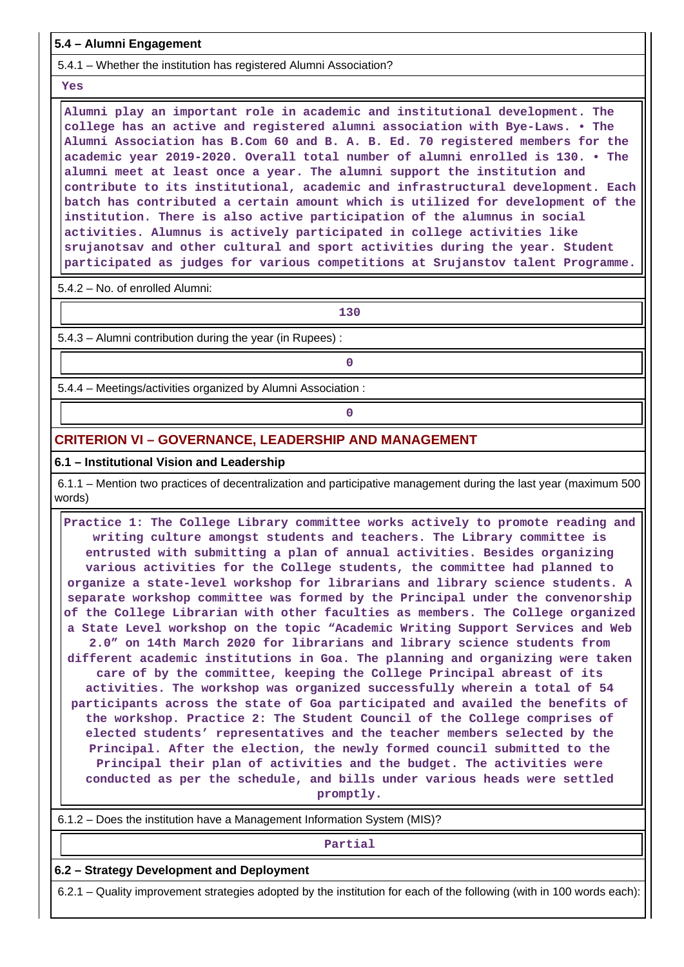**5.4 – Alumni Engagement**

5.4.1 – Whether the institution has registered Alumni Association?

 **Yes**

 **Alumni play an important role in academic and institutional development. The college has an active and registered alumni association with Bye-Laws. • The Alumni Association has B.Com 60 and B. A. B. Ed. 70 registered members for the academic year 2019-2020. Overall total number of alumni enrolled is 130. • The alumni meet at least once a year. The alumni support the institution and contribute to its institutional, academic and infrastructural development. Each batch has contributed a certain amount which is utilized for development of the institution. There is also active participation of the alumnus in social activities. Alumnus is actively participated in college activities like srujanotsav and other cultural and sport activities during the year. Student participated as judges for various competitions at Srujanstov talent Programme.**

5.4.2 – No. of enrolled Alumni:

**130**

5.4.3 – Alumni contribution during the year (in Rupees) :

**0**

**0**

5.4.4 – Meetings/activities organized by Alumni Association :

## **CRITERION VI – GOVERNANCE, LEADERSHIP AND MANAGEMENT**

## **6.1 – Institutional Vision and Leadership**

 6.1.1 – Mention two practices of decentralization and participative management during the last year (maximum 500 words)

 **Practice 1: The College Library committee works actively to promote reading and writing culture amongst students and teachers. The Library committee is entrusted with submitting a plan of annual activities. Besides organizing various activities for the College students, the committee had planned to organize a state-level workshop for librarians and library science students. A separate workshop committee was formed by the Principal under the convenorship of the College Librarian with other faculties as members. The College organized a State Level workshop on the topic "Academic Writing Support Services and Web 2.0" on 14th March 2020 for librarians and library science students from different academic institutions in Goa. The planning and organizing were taken care of by the committee, keeping the College Principal abreast of its activities. The workshop was organized successfully wherein a total of 54 participants across the state of Goa participated and availed the benefits of the workshop. Practice 2: The Student Council of the College comprises of elected students' representatives and the teacher members selected by the Principal. After the election, the newly formed council submitted to the Principal their plan of activities and the budget. The activities were conducted as per the schedule, and bills under various heads were settled promptly.**

6.1.2 – Does the institution have a Management Information System (MIS)?

#### **Partial**

## **6.2 – Strategy Development and Deployment**

6.2.1 – Quality improvement strategies adopted by the institution for each of the following (with in 100 words each):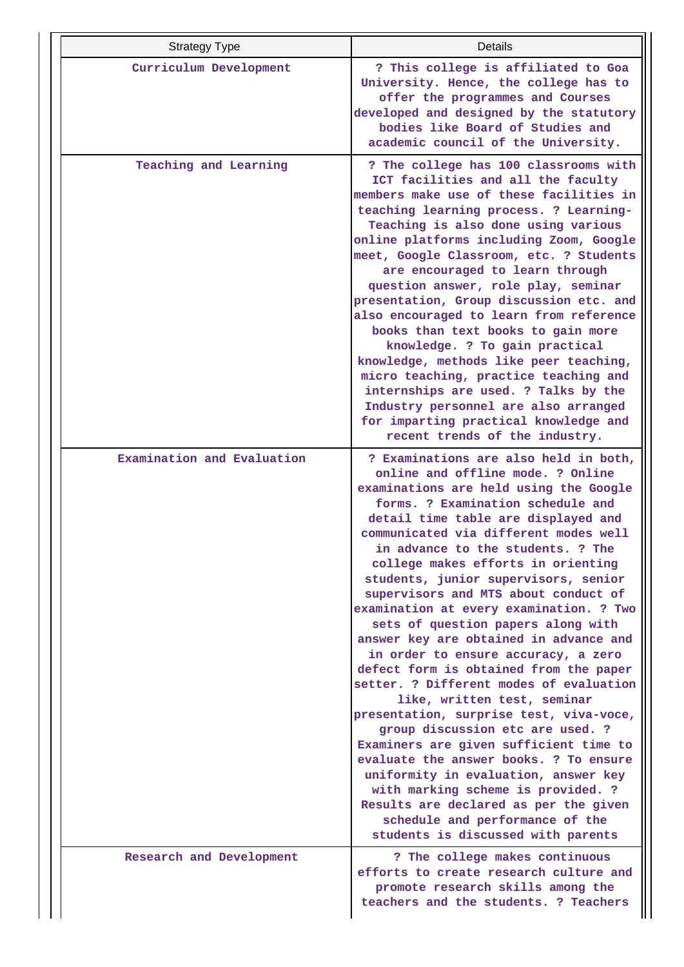| <b>Strategy Type</b>       | Details                                                                                                                                                                                                                                                                                                                                                                                                                                                                                                                                                                                                                                                                                                                                                                                                                                                                                                                                                                                                                                                       |
|----------------------------|---------------------------------------------------------------------------------------------------------------------------------------------------------------------------------------------------------------------------------------------------------------------------------------------------------------------------------------------------------------------------------------------------------------------------------------------------------------------------------------------------------------------------------------------------------------------------------------------------------------------------------------------------------------------------------------------------------------------------------------------------------------------------------------------------------------------------------------------------------------------------------------------------------------------------------------------------------------------------------------------------------------------------------------------------------------|
| Curriculum Development     | ? This college is affiliated to Goa<br>University. Hence, the college has to<br>offer the programmes and Courses<br>developed and designed by the statutory<br>bodies like Board of Studies and<br>academic council of the University.                                                                                                                                                                                                                                                                                                                                                                                                                                                                                                                                                                                                                                                                                                                                                                                                                        |
| Teaching and Learning      | ? The college has 100 classrooms with<br>ICT facilities and all the faculty<br>members make use of these facilities in<br>teaching learning process. ? Learning-<br>Teaching is also done using various<br>online platforms including Zoom, Google<br>meet, Google Classroom, etc. ? Students<br>are encouraged to learn through<br>question answer, role play, seminar<br>presentation, Group discussion etc. and<br>also encouraged to learn from reference<br>books than text books to gain more<br>knowledge. ? To gain practical<br>knowledge, methods like peer teaching,<br>micro teaching, practice teaching and<br>internships are used. ? Talks by the<br>Industry personnel are also arranged<br>for imparting practical knowledge and<br>recent trends of the industry.                                                                                                                                                                                                                                                                           |
| Examination and Evaluation | ? Examinations are also held in both,<br>online and offline mode. ? Online<br>examinations are held using the Google<br>forms. ? Examination schedule and<br>detail time table are displayed and<br>communicated via different modes well<br>in advance to the students. ? The<br>college makes efforts in orienting<br>students, junior supervisors, senior<br>supervisors and MTS about conduct of<br>examination at every examination. ? Two<br>sets of question papers along with<br>answer key are obtained in advance and<br>in order to ensure accuracy, a zero<br>defect form is obtained from the paper<br>setter. ? Different modes of evaluation<br>like, written test, seminar<br>presentation, surprise test, viva-voce,<br>group discussion etc are used. ?<br>Examiners are given sufficient time to<br>evaluate the answer books. ? To ensure<br>uniformity in evaluation, answer key<br>with marking scheme is provided. ?<br>Results are declared as per the given<br>schedule and performance of the<br>students is discussed with parents |
| Research and Development   | ? The college makes continuous<br>efforts to create research culture and<br>promote research skills among the<br>teachers and the students. ? Teachers                                                                                                                                                                                                                                                                                                                                                                                                                                                                                                                                                                                                                                                                                                                                                                                                                                                                                                        |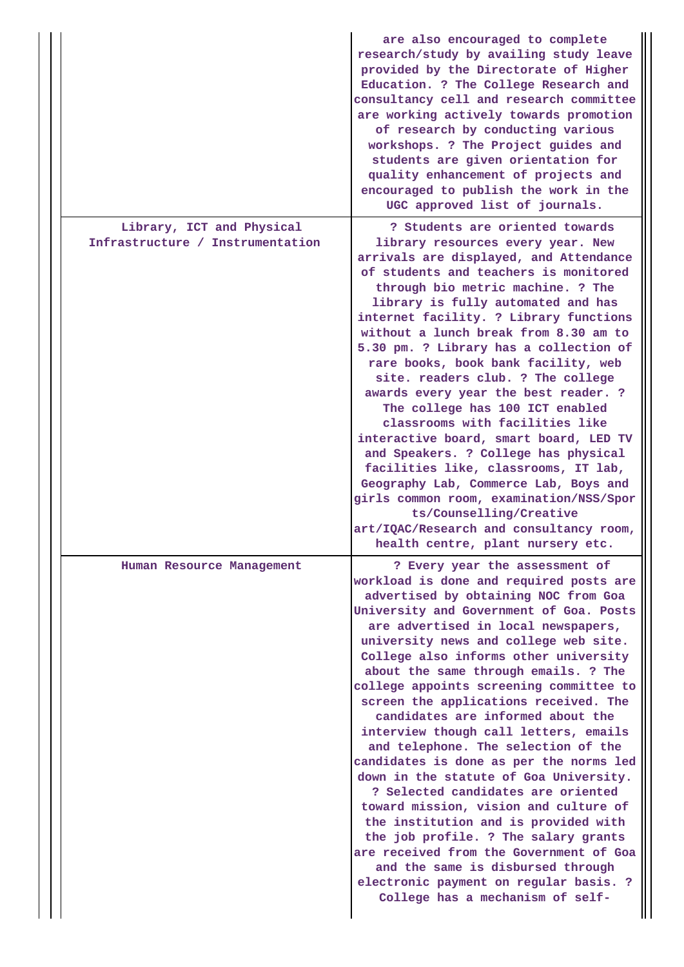|                                                               | are also encouraged to complete<br>research/study by availing study leave<br>provided by the Directorate of Higher<br>Education. ? The College Research and<br>consultancy cell and research committee<br>are working actively towards promotion<br>of research by conducting various<br>workshops. ? The Project guides and<br>students are given orientation for<br>quality enhancement of projects and<br>encouraged to publish the work in the<br>UGC approved list of journals.                                                                                                                                                                                                                                                                                                                                                                                                                                                                     |
|---------------------------------------------------------------|----------------------------------------------------------------------------------------------------------------------------------------------------------------------------------------------------------------------------------------------------------------------------------------------------------------------------------------------------------------------------------------------------------------------------------------------------------------------------------------------------------------------------------------------------------------------------------------------------------------------------------------------------------------------------------------------------------------------------------------------------------------------------------------------------------------------------------------------------------------------------------------------------------------------------------------------------------|
| Library, ICT and Physical<br>Infrastructure / Instrumentation | ? Students are oriented towards<br>library resources every year. New<br>arrivals are displayed, and Attendance<br>of students and teachers is monitored<br>through bio metric machine. ? The<br>library is fully automated and has<br>internet facility. ? Library functions<br>without a lunch break from 8.30 am to<br>5.30 pm. ? Library has a collection of<br>rare books, book bank facility, web<br>site. readers club. ? The college<br>awards every year the best reader. ?<br>The college has 100 ICT enabled<br>classrooms with facilities like<br>interactive board, smart board, LED TV<br>and Speakers. ? College has physical<br>facilities like, classrooms, IT lab,<br>Geography Lab, Commerce Lab, Boys and<br>girls common room, examination/NSS/Spor<br>ts/Counselling/Creative<br>art/IQAC/Research and consultancy room,<br>health centre, plant nursery etc.                                                                       |
| Human Resource Management                                     | ? Every year the assessment of<br>workload is done and required posts are<br>advertised by obtaining NOC from Goa<br>University and Government of Goa. Posts<br>are advertised in local newspapers,<br>university news and college web site.<br>College also informs other university<br>about the same through emails. ? The<br>college appoints screening committee to<br>screen the applications received. The<br>candidates are informed about the<br>interview though call letters, emails<br>and telephone. The selection of the<br>candidates is done as per the norms led<br>down in the statute of Goa University.<br>? Selected candidates are oriented<br>toward mission, vision and culture of<br>the institution and is provided with<br>the job profile. ? The salary grants<br>are received from the Government of Goa<br>and the same is disbursed through<br>electronic payment on regular basis. ?<br>College has a mechanism of self- |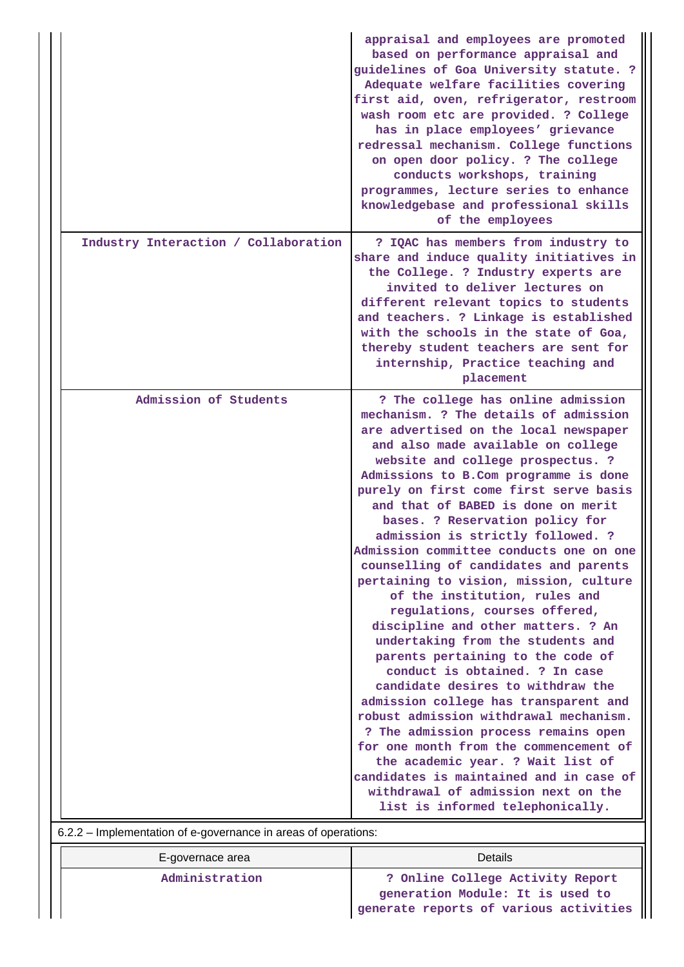|                                                                | appraisal and employees are promoted<br>based on performance appraisal and<br>guidelines of Goa University statute. ?<br>Adequate welfare facilities covering<br>first aid, oven, refrigerator, restroom<br>wash room etc are provided. ? College<br>has in place employees' grievance<br>redressal mechanism. College functions<br>on open door policy. ? The college<br>conducts workshops, training<br>programmes, lecture series to enhance<br>knowledgebase and professional skills<br>of the employees                                                                                                                                                                                                                                                                                                                                                                                                                                                                                                                                                                                                            |
|----------------------------------------------------------------|-------------------------------------------------------------------------------------------------------------------------------------------------------------------------------------------------------------------------------------------------------------------------------------------------------------------------------------------------------------------------------------------------------------------------------------------------------------------------------------------------------------------------------------------------------------------------------------------------------------------------------------------------------------------------------------------------------------------------------------------------------------------------------------------------------------------------------------------------------------------------------------------------------------------------------------------------------------------------------------------------------------------------------------------------------------------------------------------------------------------------|
| Industry Interaction / Collaboration                           | ? IQAC has members from industry to<br>share and induce quality initiatives in<br>the College. ? Industry experts are<br>invited to deliver lectures on<br>different relevant topics to students<br>and teachers. ? Linkage is established<br>with the schools in the state of Goa,<br>thereby student teachers are sent for<br>internship, Practice teaching and<br>placement                                                                                                                                                                                                                                                                                                                                                                                                                                                                                                                                                                                                                                                                                                                                          |
| Admission of Students                                          | ? The college has online admission<br>mechanism. ? The details of admission<br>are advertised on the local newspaper<br>and also made available on college<br>website and college prospectus. ?<br>Admissions to B.Com programme is done<br>purely on first come first serve basis<br>and that of BABED is done on merit<br>bases. ? Reservation policy for<br>admission is strictly followed. ?<br>Admission committee conducts one on one<br>counselling of candidates and parents<br>pertaining to vision, mission, culture<br>of the institution, rules and<br>regulations, courses offered,<br>discipline and other matters. ? An<br>undertaking from the students and<br>parents pertaining to the code of<br>conduct is obtained. ? In case<br>candidate desires to withdraw the<br>admission college has transparent and<br>robust admission withdrawal mechanism.<br>? The admission process remains open<br>for one month from the commencement of<br>the academic year. ? Wait list of<br>candidates is maintained and in case of<br>withdrawal of admission next on the<br>list is informed telephonically. |
| 6.2.2 - Implementation of e-governance in areas of operations: |                                                                                                                                                                                                                                                                                                                                                                                                                                                                                                                                                                                                                                                                                                                                                                                                                                                                                                                                                                                                                                                                                                                         |

| E-governace area | Details                                                              |  |  |  |  |  |
|------------------|----------------------------------------------------------------------|--|--|--|--|--|
| Administration   | ? Online College Activity Report<br>generation Module: It is used to |  |  |  |  |  |
|                  | generate reports of various activities                               |  |  |  |  |  |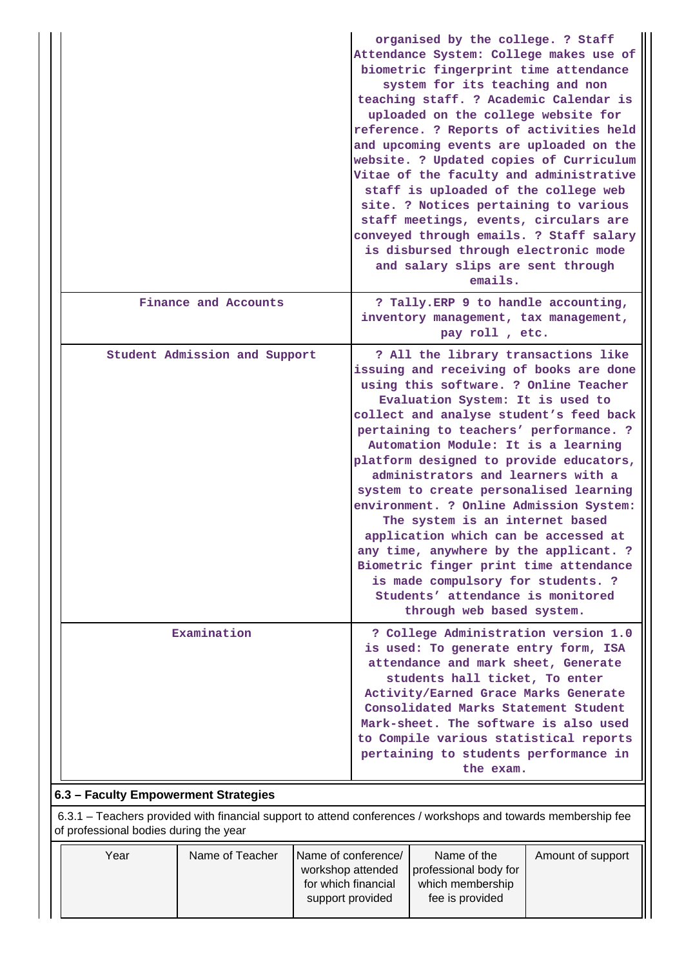|                               | organised by the college. ? Staff<br>Attendance System: College makes use of<br>biometric fingerprint time attendance<br>system for its teaching and non<br>teaching staff. ? Academic Calendar is<br>uploaded on the college website for<br>reference. ? Reports of activities held<br>and upcoming events are uploaded on the<br>website. ? Updated copies of Curriculum<br>Vitae of the faculty and administrative<br>staff is uploaded of the college web<br>site. ? Notices pertaining to various<br>staff meetings, events, circulars are<br>conveyed through emails. ? Staff salary<br>is disbursed through electronic mode<br>and salary slips are sent through<br>emails.                                                   |
|-------------------------------|--------------------------------------------------------------------------------------------------------------------------------------------------------------------------------------------------------------------------------------------------------------------------------------------------------------------------------------------------------------------------------------------------------------------------------------------------------------------------------------------------------------------------------------------------------------------------------------------------------------------------------------------------------------------------------------------------------------------------------------|
| Finance and Accounts          | ? Tally. ERP 9 to handle accounting,<br>inventory management, tax management,<br>pay roll, etc.                                                                                                                                                                                                                                                                                                                                                                                                                                                                                                                                                                                                                                      |
| Student Admission and Support | ? All the library transactions like<br>issuing and receiving of books are done<br>using this software. ? Online Teacher<br>Evaluation System: It is used to<br>collect and analyse student's feed back<br>pertaining to teachers' performance. ?<br>Automation Module: It is a learning<br>platform designed to provide educators,<br>administrators and learners with a<br>system to create personalised learning<br>environment. ? Online Admission System:<br>The system is an internet based<br>application which can be accessed at<br>any time, anywhere by the applicant. ?<br>Biometric finger print time attendance<br>is made compulsory for students. ?<br>Students' attendance is monitored<br>through web based system. |
| Examination                   | ? College Administration version 1.0<br>is used: To generate entry form, ISA<br>attendance and mark sheet, Generate<br>students hall ticket, To enter<br>Activity/Earned Grace Marks Generate<br>Consolidated Marks Statement Student<br>Mark-sheet. The software is also used<br>to Compile various statistical reports<br>pertaining to students performance in<br>the exam.                                                                                                                                                                                                                                                                                                                                                       |

## **6.3 – Faculty Empowerment Strategies**

 6.3.1 – Teachers provided with financial support to attend conferences / workshops and towards membership fee of professional bodies during the year

| Year | Name of Teacher | Name of conference/                     | Name of the           | Amount of support |
|------|-----------------|-----------------------------------------|-----------------------|-------------------|
|      |                 | workshop attended                       | professional body for |                   |
|      |                 | for which financial<br>which membership |                       |                   |
|      |                 | fee is provided<br>support provided     |                       |                   |
|      |                 |                                         |                       |                   |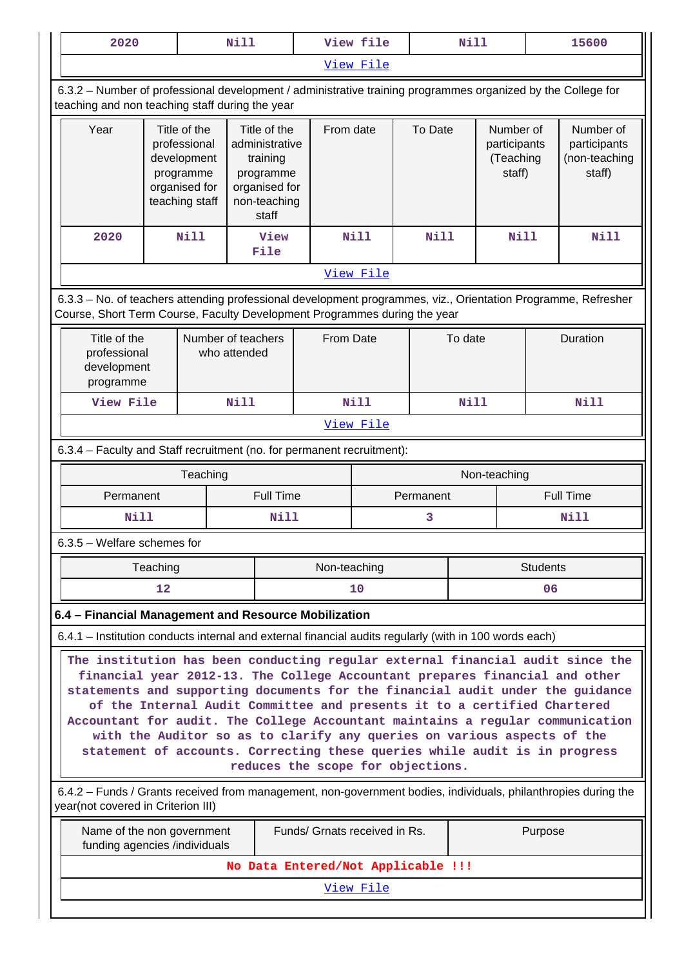| 2020                                                                                                                                                                                                                                                                                                                                                                                                                                                                                                                                                                                                        |                                                                                                         |                                                                                             | <b>Nill</b>                                                                                       |              | View file   |             | <b>Nill</b> |                                                  | 15600                                                |  |
|-------------------------------------------------------------------------------------------------------------------------------------------------------------------------------------------------------------------------------------------------------------------------------------------------------------------------------------------------------------------------------------------------------------------------------------------------------------------------------------------------------------------------------------------------------------------------------------------------------------|---------------------------------------------------------------------------------------------------------|---------------------------------------------------------------------------------------------|---------------------------------------------------------------------------------------------------|--------------|-------------|-------------|-------------|--------------------------------------------------|------------------------------------------------------|--|
|                                                                                                                                                                                                                                                                                                                                                                                                                                                                                                                                                                                                             |                                                                                                         |                                                                                             |                                                                                                   |              | View File   |             |             |                                                  |                                                      |  |
| 6.3.2 - Number of professional development / administrative training programmes organized by the College for<br>teaching and non teaching staff during the year                                                                                                                                                                                                                                                                                                                                                                                                                                             |                                                                                                         |                                                                                             |                                                                                                   |              |             |             |             |                                                  |                                                      |  |
| Year                                                                                                                                                                                                                                                                                                                                                                                                                                                                                                                                                                                                        |                                                                                                         | Title of the<br>professional<br>development<br>programme<br>organised for<br>teaching staff | Title of the<br>administrative<br>training<br>programme<br>organised for<br>non-teaching<br>staff | From date    |             | To Date     |             | Number of<br>participants<br>(Teaching<br>staff) | Number of<br>participants<br>(non-teaching<br>staff) |  |
| 2020                                                                                                                                                                                                                                                                                                                                                                                                                                                                                                                                                                                                        |                                                                                                         | Nill                                                                                        | View<br>File                                                                                      |              | <b>Nill</b> | <b>Nill</b> |             | Nill                                             | <b>Nill</b>                                          |  |
|                                                                                                                                                                                                                                                                                                                                                                                                                                                                                                                                                                                                             |                                                                                                         |                                                                                             |                                                                                                   |              | View File   |             |             |                                                  |                                                      |  |
| 6.3.3 - No. of teachers attending professional development programmes, viz., Orientation Programme, Refresher<br>Course, Short Term Course, Faculty Development Programmes during the year                                                                                                                                                                                                                                                                                                                                                                                                                  |                                                                                                         |                                                                                             |                                                                                                   |              |             |             |             |                                                  |                                                      |  |
| Title of the<br>professional<br>development<br>programme                                                                                                                                                                                                                                                                                                                                                                                                                                                                                                                                                    | Number of teachers<br>who attended                                                                      | From Date                                                                                   |                                                                                                   |              | To date     |             | Duration    |                                                  |                                                      |  |
| View File                                                                                                                                                                                                                                                                                                                                                                                                                                                                                                                                                                                                   |                                                                                                         |                                                                                             | <b>Nill</b>                                                                                       |              | <b>Nill</b> |             |             | Nill<br><b>Nill</b>                              |                                                      |  |
|                                                                                                                                                                                                                                                                                                                                                                                                                                                                                                                                                                                                             | View File                                                                                               |                                                                                             |                                                                                                   |              |             |             |             |                                                  |                                                      |  |
| 6.3.4 - Faculty and Staff recruitment (no. for permanent recruitment):                                                                                                                                                                                                                                                                                                                                                                                                                                                                                                                                      |                                                                                                         |                                                                                             |                                                                                                   |              |             |             |             |                                                  |                                                      |  |
| Teaching<br>Non-teaching                                                                                                                                                                                                                                                                                                                                                                                                                                                                                                                                                                                    |                                                                                                         |                                                                                             |                                                                                                   |              |             |             |             |                                                  |                                                      |  |
| Permanent                                                                                                                                                                                                                                                                                                                                                                                                                                                                                                                                                                                                   |                                                                                                         |                                                                                             | <b>Full Time</b>                                                                                  |              | Permanent   |             |             |                                                  | <b>Full Time</b>                                     |  |
| Nill                                                                                                                                                                                                                                                                                                                                                                                                                                                                                                                                                                                                        |                                                                                                         |                                                                                             | Nill                                                                                              |              | 3           |             |             |                                                  | Nill                                                 |  |
| $6.3.5$ – Welfare schemes for                                                                                                                                                                                                                                                                                                                                                                                                                                                                                                                                                                               |                                                                                                         |                                                                                             |                                                                                                   |              |             |             |             |                                                  |                                                      |  |
|                                                                                                                                                                                                                                                                                                                                                                                                                                                                                                                                                                                                             | Teaching                                                                                                |                                                                                             |                                                                                                   | Non-teaching |             |             |             | <b>Students</b>                                  |                                                      |  |
|                                                                                                                                                                                                                                                                                                                                                                                                                                                                                                                                                                                                             | 12                                                                                                      |                                                                                             |                                                                                                   |              | 10          |             |             | 06                                               |                                                      |  |
| 6.4 - Financial Management and Resource Mobilization                                                                                                                                                                                                                                                                                                                                                                                                                                                                                                                                                        |                                                                                                         |                                                                                             |                                                                                                   |              |             |             |             |                                                  |                                                      |  |
| 6.4.1 – Institution conducts internal and external financial audits regularly (with in 100 words each)                                                                                                                                                                                                                                                                                                                                                                                                                                                                                                      |                                                                                                         |                                                                                             |                                                                                                   |              |             |             |             |                                                  |                                                      |  |
| The institution has been conducting regular external financial audit since the<br>financial year 2012-13. The College Accountant prepares financial and other<br>statements and supporting documents for the financial audit under the guidance<br>of the Internal Audit Committee and presents it to a certified Chartered<br>Accountant for audit. The College Accountant maintains a regular communication<br>with the Auditor so as to clarify any queries on various aspects of the<br>statement of accounts. Correcting these queries while audit is in progress<br>reduces the scope for objections. |                                                                                                         |                                                                                             |                                                                                                   |              |             |             |             |                                                  |                                                      |  |
| 6.4.2 - Funds / Grants received from management, non-government bodies, individuals, philanthropies during the<br>year(not covered in Criterion III)                                                                                                                                                                                                                                                                                                                                                                                                                                                        |                                                                                                         |                                                                                             |                                                                                                   |              |             |             |             |                                                  |                                                      |  |
|                                                                                                                                                                                                                                                                                                                                                                                                                                                                                                                                                                                                             | Funds/ Grnats received in Rs.<br>Purpose<br>Name of the non government<br>funding agencies /individuals |                                                                                             |                                                                                                   |              |             |             |             |                                                  |                                                      |  |
|                                                                                                                                                                                                                                                                                                                                                                                                                                                                                                                                                                                                             |                                                                                                         |                                                                                             | No Data Entered/Not Applicable !!!                                                                |              |             |             |             |                                                  |                                                      |  |
|                                                                                                                                                                                                                                                                                                                                                                                                                                                                                                                                                                                                             |                                                                                                         |                                                                                             |                                                                                                   |              | View File   |             |             |                                                  |                                                      |  |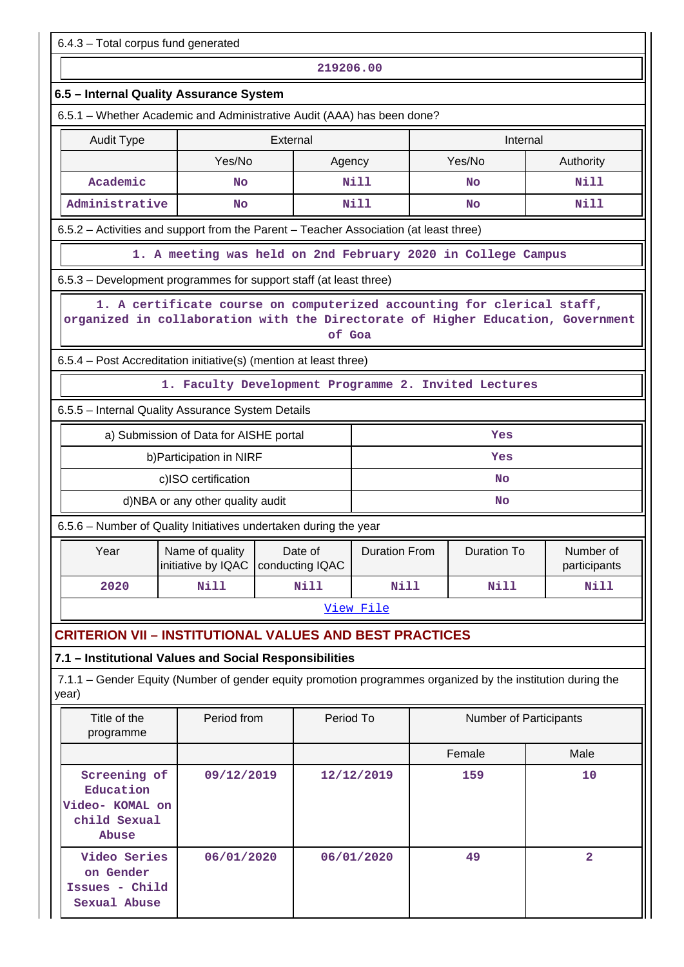| 6.4.3 - Total corpus fund generated                                                                                                                                 |                                                         |  |             |                      |                    |                               |                           |  |  |  |
|---------------------------------------------------------------------------------------------------------------------------------------------------------------------|---------------------------------------------------------|--|-------------|----------------------|--------------------|-------------------------------|---------------------------|--|--|--|
| 219206.00                                                                                                                                                           |                                                         |  |             |                      |                    |                               |                           |  |  |  |
| 6.5 - Internal Quality Assurance System                                                                                                                             |                                                         |  |             |                      |                    |                               |                           |  |  |  |
| 6.5.1 - Whether Academic and Administrative Audit (AAA) has been done?                                                                                              |                                                         |  |             |                      |                    |                               |                           |  |  |  |
| <b>Audit Type</b>                                                                                                                                                   | External<br>Internal                                    |  |             |                      |                    |                               |                           |  |  |  |
|                                                                                                                                                                     | Yes/No                                                  |  | Agency      |                      |                    | Yes/No                        | Authority                 |  |  |  |
| Academic                                                                                                                                                            | No                                                      |  |             | N11                  |                    | <b>No</b>                     | Nill                      |  |  |  |
| Administrative                                                                                                                                                      | No                                                      |  |             | Nill                 |                    | <b>No</b>                     | Nill                      |  |  |  |
| 6.5.2 - Activities and support from the Parent - Teacher Association (at least three)                                                                               |                                                         |  |             |                      |                    |                               |                           |  |  |  |
| 1. A meeting was held on 2nd February 2020 in College Campus                                                                                                        |                                                         |  |             |                      |                    |                               |                           |  |  |  |
| 6.5.3 – Development programmes for support staff (at least three)                                                                                                   |                                                         |  |             |                      |                    |                               |                           |  |  |  |
| 1. A certificate course on computerized accounting for clerical staff,<br>organized in collaboration with the Directorate of Higher Education, Government<br>of Goa |                                                         |  |             |                      |                    |                               |                           |  |  |  |
| 6.5.4 - Post Accreditation initiative(s) (mention at least three)                                                                                                   |                                                         |  |             |                      |                    |                               |                           |  |  |  |
|                                                                                                                                                                     | 1. Faculty Development Programme 2. Invited Lectures    |  |             |                      |                    |                               |                           |  |  |  |
| 6.5.5 - Internal Quality Assurance System Details                                                                                                                   |                                                         |  |             |                      |                    |                               |                           |  |  |  |
|                                                                                                                                                                     | a) Submission of Data for AISHE portal                  |  |             |                      |                    | Yes                           |                           |  |  |  |
|                                                                                                                                                                     | b) Participation in NIRF                                |  |             |                      |                    | Yes                           |                           |  |  |  |
|                                                                                                                                                                     | c)ISO certification                                     |  |             |                      | <b>No</b>          |                               |                           |  |  |  |
|                                                                                                                                                                     | d)NBA or any other quality audit                        |  |             |                      |                    | <b>No</b>                     |                           |  |  |  |
| 6.5.6 - Number of Quality Initiatives undertaken during the year                                                                                                    |                                                         |  |             |                      |                    |                               |                           |  |  |  |
| Year                                                                                                                                                                | Name of quality<br>initiative by IQAC   conducting IQAC |  | Date of     | <b>Duration From</b> | <b>Duration To</b> |                               | Number of<br>participants |  |  |  |
| 2020                                                                                                                                                                | <b>Nill</b>                                             |  | <b>Nill</b> | <b>Nill</b>          | <b>Nill</b>        |                               |                           |  |  |  |
|                                                                                                                                                                     |                                                         |  |             | View File            |                    |                               |                           |  |  |  |
| <b>CRITERION VII - INSTITUTIONAL VALUES AND BEST PRACTICES</b>                                                                                                      |                                                         |  |             |                      |                    |                               |                           |  |  |  |
| 7.1 - Institutional Values and Social Responsibilities                                                                                                              |                                                         |  |             |                      |                    |                               |                           |  |  |  |
| 7.1.1 – Gender Equity (Number of gender equity promotion programmes organized by the institution during the<br>year)                                                |                                                         |  |             |                      |                    |                               |                           |  |  |  |
| Title of the<br>programme                                                                                                                                           | Period from                                             |  | Period To   |                      |                    | <b>Number of Participants</b> |                           |  |  |  |
|                                                                                                                                                                     |                                                         |  |             |                      |                    | Female                        | Male                      |  |  |  |
| Screening of<br>Education<br>Video- KOMAL on<br>child Sexual<br>Abuse                                                                                               | 09/12/2019                                              |  |             | 12/12/2019           | 159                |                               | 10                        |  |  |  |
| Video Series<br>on Gender<br>Issues - Child<br>Sexual Abuse                                                                                                         | 06/01/2020                                              |  |             | 06/01/2020           |                    | 49                            | $\overline{2}$            |  |  |  |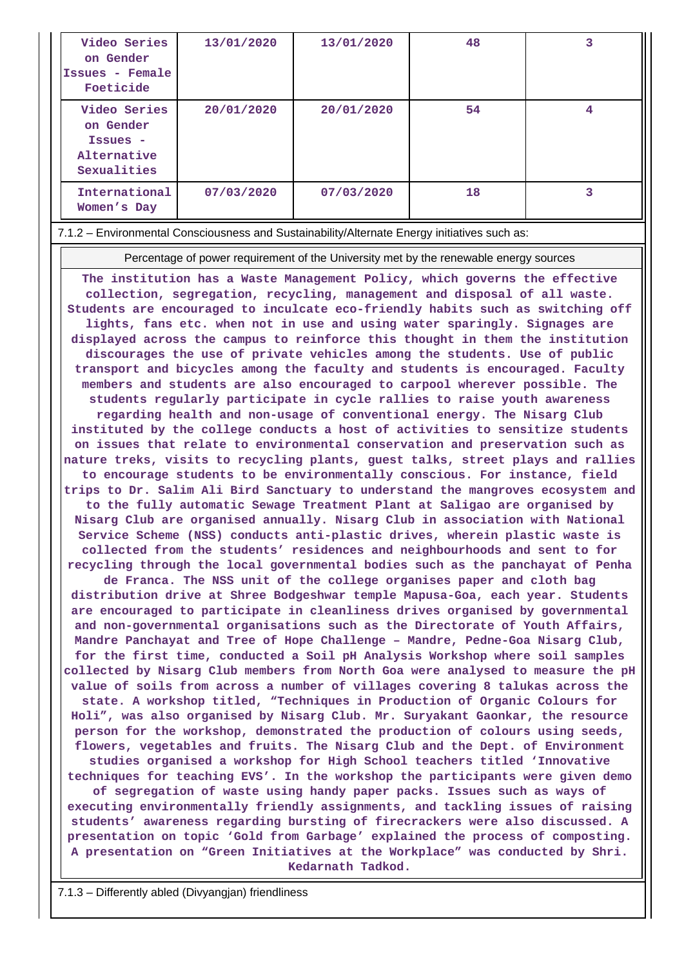| Video Series<br>on Gender<br>Issues - Female<br>Foeticide           | 13/01/2020 | 13/01/2020 | 48 | 3 |
|---------------------------------------------------------------------|------------|------------|----|---|
| Video Series<br>on Gender<br>Issues -<br>Alternative<br>Sexualities | 20/01/2020 | 20/01/2020 | 54 | 4 |
| International<br>Women's Day                                        | 07/03/2020 | 07/03/2020 | 18 | 3 |

7.1.2 – Environmental Consciousness and Sustainability/Alternate Energy initiatives such as:

Percentage of power requirement of the University met by the renewable energy sources

**The institution has a Waste Management Policy, which governs the effective collection, segregation, recycling, management and disposal of all waste. Students are encouraged to inculcate eco-friendly habits such as switching off lights, fans etc. when not in use and using water sparingly. Signages are displayed across the campus to reinforce this thought in them the institution discourages the use of private vehicles among the students. Use of public transport and bicycles among the faculty and students is encouraged. Faculty members and students are also encouraged to carpool wherever possible. The students regularly participate in cycle rallies to raise youth awareness regarding health and non-usage of conventional energy. The Nisarg Club instituted by the college conducts a host of activities to sensitize students on issues that relate to environmental conservation and preservation such as nature treks, visits to recycling plants, guest talks, street plays and rallies to encourage students to be environmentally conscious. For instance, field trips to Dr. Salim Ali Bird Sanctuary to understand the mangroves ecosystem and to the fully automatic Sewage Treatment Plant at Saligao are organised by Nisarg Club are organised annually. Nisarg Club in association with National Service Scheme (NSS) conducts anti-plastic drives, wherein plastic waste is collected from the students' residences and neighbourhoods and sent to for recycling through the local governmental bodies such as the panchayat of Penha de Franca. The NSS unit of the college organises paper and cloth bag distribution drive at Shree Bodgeshwar temple Mapusa-Goa, each year. Students are encouraged to participate in cleanliness drives organised by governmental and non-governmental organisations such as the Directorate of Youth Affairs, Mandre Panchayat and Tree of Hope Challenge – Mandre, Pedne-Goa Nisarg Club, for the first time, conducted a Soil pH Analysis Workshop where soil samples collected by Nisarg Club members from North Goa were analysed to measure the pH value of soils from across a number of villages covering 8 talukas across the state. A workshop titled, "Techniques in Production of Organic Colours for Holi", was also organised by Nisarg Club. Mr. Suryakant Gaonkar, the resource person for the workshop, demonstrated the production of colours using seeds, flowers, vegetables and fruits. The Nisarg Club and the Dept. of Environment studies organised a workshop for High School teachers titled 'Innovative techniques for teaching EVS'. In the workshop the participants were given demo of segregation of waste using handy paper packs. Issues such as ways of executing environmentally friendly assignments, and tackling issues of raising students' awareness regarding bursting of firecrackers were also discussed. A presentation on topic 'Gold from Garbage' explained the process of composting. A presentation on "Green Initiatives at the Workplace" was conducted by Shri. Kedarnath Tadkod.**

7.1.3 – Differently abled (Divyangjan) friendliness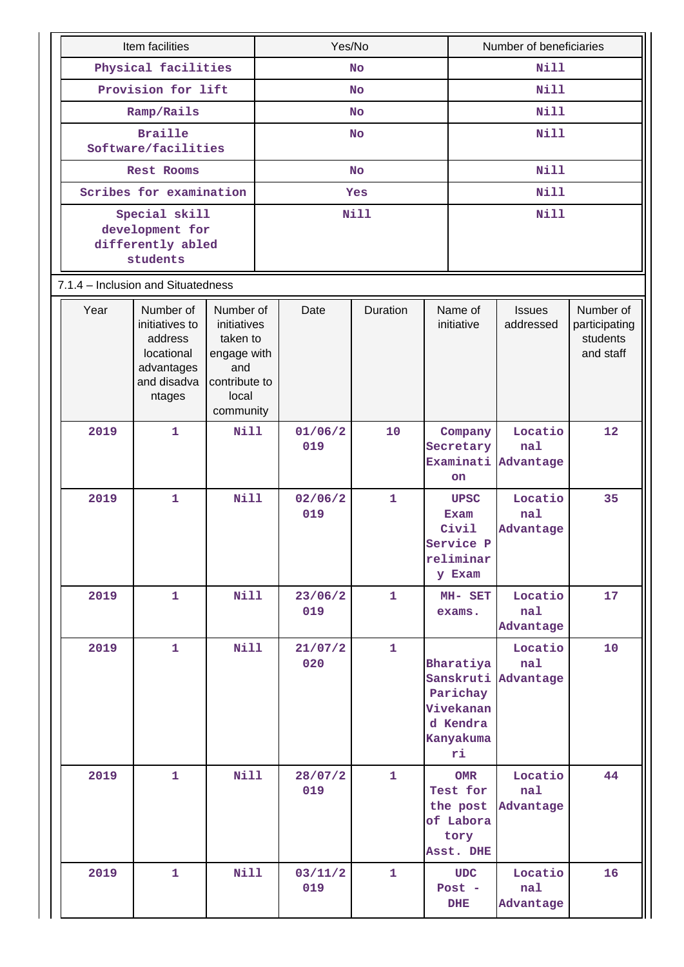|                                                  | Item facilities<br>Physical facilities                                                      |                                                                                                   |      | Yes/No         |              |                                                                                          |                                                                      | Number of beneficiaries     |                                                     |  |  |
|--------------------------------------------------|---------------------------------------------------------------------------------------------|---------------------------------------------------------------------------------------------------|------|----------------|--------------|------------------------------------------------------------------------------------------|----------------------------------------------------------------------|-----------------------------|-----------------------------------------------------|--|--|
|                                                  |                                                                                             |                                                                                                   |      |                | <b>No</b>    |                                                                                          |                                                                      | <b>Nill</b>                 |                                                     |  |  |
|                                                  | Provision for lift                                                                          |                                                                                                   |      |                | <b>No</b>    |                                                                                          |                                                                      | <b>Nill</b>                 |                                                     |  |  |
|                                                  | Ramp/Rails                                                                                  |                                                                                                   |      |                | <b>No</b>    |                                                                                          |                                                                      | <b>Nill</b>                 |                                                     |  |  |
|                                                  | <b>Braille</b>                                                                              |                                                                                                   |      |                | <b>No</b>    |                                                                                          |                                                                      | <b>Nill</b>                 |                                                     |  |  |
| Software/facilities                              |                                                                                             |                                                                                                   |      |                |              |                                                                                          |                                                                      |                             |                                                     |  |  |
| Scribes for examination                          | Rest Rooms                                                                                  |                                                                                                   |      |                | <b>No</b>    |                                                                                          |                                                                      | Nill                        |                                                     |  |  |
|                                                  | Special skill                                                                               |                                                                                                   |      |                | Yes          |                                                                                          |                                                                      | <b>Nill</b><br><b>Nill</b>  |                                                     |  |  |
| development for<br>differently abled<br>students |                                                                                             |                                                                                                   | Nill |                |              |                                                                                          |                                                                      |                             |                                                     |  |  |
| 7.1.4 - Inclusion and Situatedness               |                                                                                             |                                                                                                   |      |                |              |                                                                                          |                                                                      |                             |                                                     |  |  |
| Year                                             | Number of<br>initiatives to<br>address<br>locational<br>advantages<br>and disadva<br>ntages | Number of<br>initiatives<br>taken to<br>engage with<br>and<br>contribute to<br>local<br>community |      | Date           | Duration     |                                                                                          | Name of<br>initiative                                                | <b>Issues</b><br>addressed  | Number of<br>participating<br>students<br>and staff |  |  |
| 2019                                             | $\mathbf{1}$                                                                                | <b>Nill</b>                                                                                       |      | 01/06/2<br>019 | 10           | Company<br>Secretary<br>Examinati<br>on                                                  |                                                                      | Locatio<br>nal<br>Advantage | 12                                                  |  |  |
| 2019                                             | $\mathbf{1}$                                                                                | <b>Nill</b>                                                                                       |      | 02/06/2<br>019 | $\mathbf{1}$ |                                                                                          | <b>UPSC</b><br>Exam<br>Civil<br>Service P<br>reliminar<br>y Exam     | Locatio<br>nal<br>Advantage | 35                                                  |  |  |
| 2019                                             | $\mathbf{1}$                                                                                | <b>Nill</b>                                                                                       |      | 23/06/2<br>019 | $\mathbf{1}$ |                                                                                          | MH- SET<br>exams.                                                    | Locatio<br>nal<br>Advantage | 17                                                  |  |  |
| 2019                                             | $\mathbf{1}$                                                                                | <b>Nill</b><br><b>Nill</b>                                                                        |      | 21/07/2<br>020 | $\mathbf{1}$ | Bharatiya<br>Sanskruti Advantage<br>Parichay<br>Vivekanan<br>d Kendra<br>Kanyakuma<br>ri |                                                                      | Locatio<br>nal              | 10                                                  |  |  |
| 2019                                             | $\mathbf{1}$                                                                                |                                                                                                   |      | 28/07/2<br>019 | $\mathbf{1}$ |                                                                                          | <b>OMR</b><br>Test for<br>the post<br>of Labora<br>tory<br>Asst. DHE | Locatio<br>nal<br>Advantage | 44                                                  |  |  |
| 2019                                             | $\mathbf{1}$                                                                                | <b>Nill</b>                                                                                       |      | 03/11/2<br>019 | $\mathbf{1}$ |                                                                                          | <b>UDC</b><br>Post $-$<br><b>DHE</b>                                 | Locatio<br>nal<br>Advantage | 16                                                  |  |  |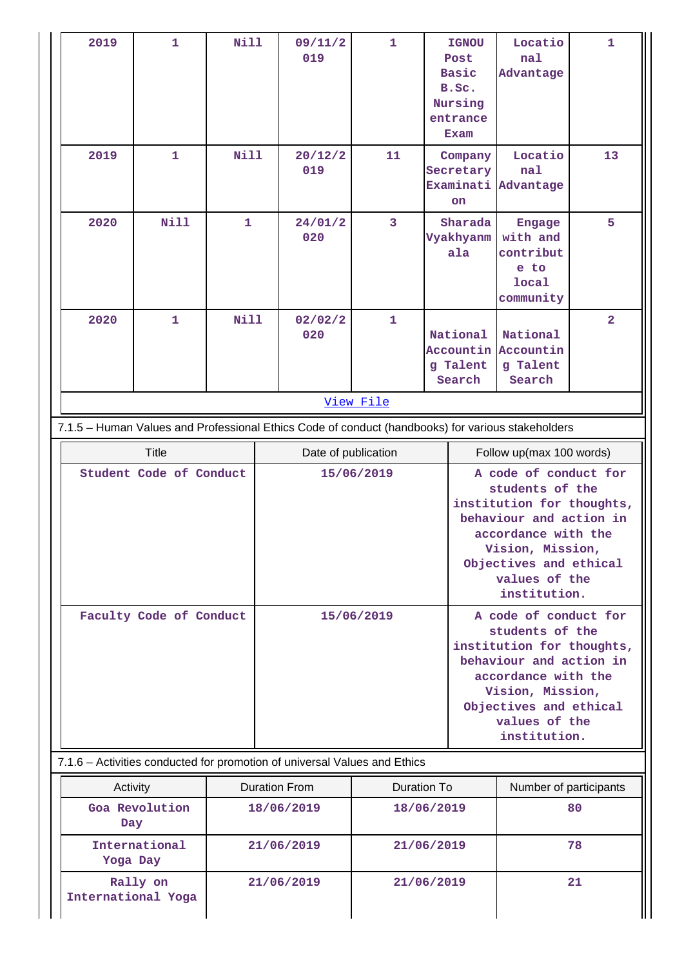| 2019                                                                                                           | $\mathbf{1}$   | <b>Nill</b>  |  | 09/11/2<br>019                                                            | $\mathbf{1}$       |                                             | <b>IGNOU</b><br>Post<br><b>Basic</b><br>B.Sc.<br>Nursing<br>entrance<br>Exam | Locatio<br>nal<br>Advantage                                                                                                                                                                            | $\mathbf{1}$   |  |
|----------------------------------------------------------------------------------------------------------------|----------------|--------------|--|---------------------------------------------------------------------------|--------------------|---------------------------------------------|------------------------------------------------------------------------------|--------------------------------------------------------------------------------------------------------------------------------------------------------------------------------------------------------|----------------|--|
| 2019                                                                                                           | $\mathbf{1}$   | <b>Nill</b>  |  | 20/12/2<br>019                                                            | 11                 |                                             | Company<br>Secretary<br>Examinati<br><b>on</b>                               | Locatio<br>nal<br>Advantage                                                                                                                                                                            | 13             |  |
| 2020                                                                                                           | <b>Nill</b>    | $\mathbf{1}$ |  | 24/01/2<br>020                                                            | 3                  |                                             | Sharada<br>Vyakhyanm<br>ala                                                  | Engage<br>with and<br>contribut<br>e to<br>local<br>community                                                                                                                                          | 5              |  |
| 2020                                                                                                           | $\mathbf{1}$   | <b>Nill</b>  |  | 02/02/2<br>020                                                            | 1                  | National<br>Accountin<br>g Talent<br>Search |                                                                              | National<br>Accountin<br>g Talent<br>Search                                                                                                                                                            | $\overline{a}$ |  |
| View File<br>7.1.5 - Human Values and Professional Ethics Code of conduct (handbooks) for various stakeholders |                |              |  |                                                                           |                    |                                             |                                                                              |                                                                                                                                                                                                        |                |  |
|                                                                                                                |                |              |  |                                                                           |                    |                                             |                                                                              |                                                                                                                                                                                                        |                |  |
|                                                                                                                | <b>Title</b>   |              |  | Date of publication<br>15/06/2019                                         |                    |                                             | Follow up(max 100 words)<br>A code of conduct for                            |                                                                                                                                                                                                        |                |  |
| Student Code of Conduct                                                                                        |                |              |  |                                                                           |                    |                                             |                                                                              | students of the<br>institution for thoughts,<br>behaviour and action in<br>accordance with the<br>Vision, Mission,<br>Objectives and ethical<br>values of the<br>institution.                          |                |  |
| Faculty Code of Conduct                                                                                        |                |              |  | 15/06/2019                                                                |                    |                                             |                                                                              | A code of conduct for<br>students of the<br>institution for thoughts,<br>behaviour and action in<br>accordance with the<br>Vision, Mission,<br>Objectives and ethical<br>values of the<br>institution. |                |  |
|                                                                                                                |                |              |  | 7.1.6 - Activities conducted for promotion of universal Values and Ethics |                    |                                             |                                                                              |                                                                                                                                                                                                        |                |  |
| Activity                                                                                                       |                |              |  | <b>Duration From</b>                                                      | <b>Duration To</b> |                                             |                                                                              | Number of participants                                                                                                                                                                                 |                |  |
| Day                                                                                                            | Goa Revolution |              |  | 18/06/2019                                                                | 18/06/2019         |                                             |                                                                              |                                                                                                                                                                                                        | 80             |  |
| Yoga Day                                                                                                       | International  |              |  | 21/06/2019<br>21/06/2019                                                  |                    |                                             |                                                                              |                                                                                                                                                                                                        | 78             |  |
| International Yoga                                                                                             | Rally on       | 21/06/2019   |  |                                                                           | 21/06/2019         |                                             |                                                                              |                                                                                                                                                                                                        | 21             |  |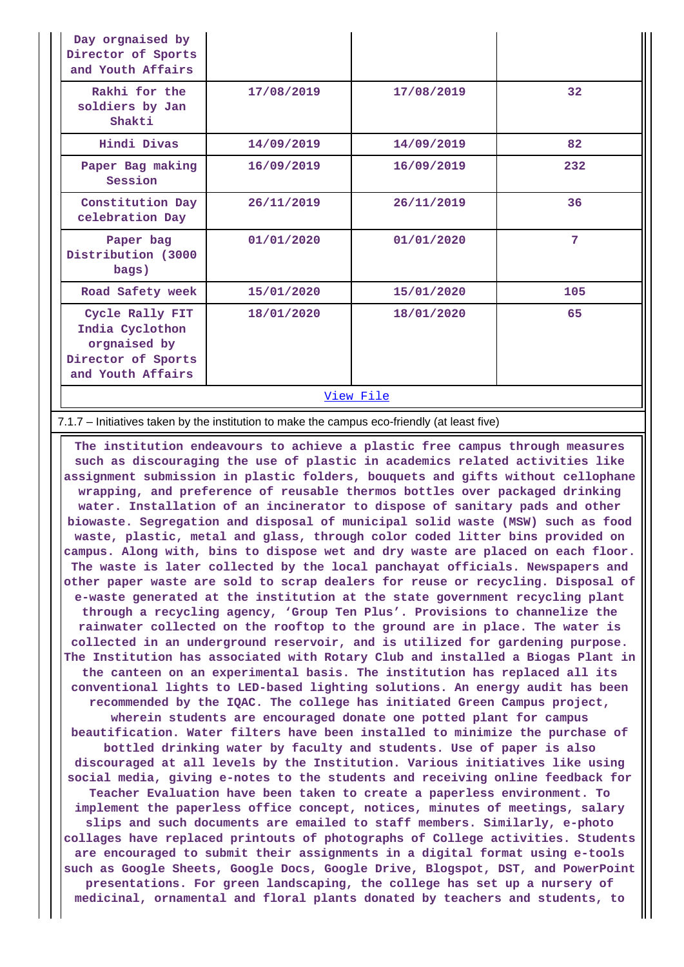| Day orgnaised by<br>Director of Sports<br>and Youth Affairs                                   |            |            |     |
|-----------------------------------------------------------------------------------------------|------------|------------|-----|
| Rakhi for the<br>soldiers by Jan<br>Shakti                                                    | 17/08/2019 | 17/08/2019 | 32  |
| Hindi Divas                                                                                   | 14/09/2019 | 14/09/2019 | 82  |
| Paper Bag making<br>Session                                                                   | 16/09/2019 | 16/09/2019 | 232 |
| Constitution Day<br>celebration Day                                                           | 26/11/2019 | 26/11/2019 | 36  |
| Paper bag<br>Distribution (3000<br>bags)                                                      | 01/01/2020 | 01/01/2020 | 7   |
| Road Safety week                                                                              | 15/01/2020 | 15/01/2020 | 105 |
| Cycle Rally FIT<br>India Cyclothon<br>orgnaised by<br>Director of Sports<br>and Youth Affairs | 18/01/2020 | 18/01/2020 | 65  |
| View File                                                                                     |            |            |     |

### 7.1.7 – Initiatives taken by the institution to make the campus eco-friendly (at least five)

 **The institution endeavours to achieve a plastic free campus through measures such as discouraging the use of plastic in academics related activities like assignment submission in plastic folders, bouquets and gifts without cellophane wrapping, and preference of reusable thermos bottles over packaged drinking water. Installation of an incinerator to dispose of sanitary pads and other biowaste. Segregation and disposal of municipal solid waste (MSW) such as food waste, plastic, metal and glass, through color coded litter bins provided on campus. Along with, bins to dispose wet and dry waste are placed on each floor. The waste is later collected by the local panchayat officials. Newspapers and other paper waste are sold to scrap dealers for reuse or recycling. Disposal of e-waste generated at the institution at the state government recycling plant through a recycling agency, 'Group Ten Plus'. Provisions to channelize the rainwater collected on the rooftop to the ground are in place. The water is collected in an underground reservoir, and is utilized for gardening purpose. The Institution has associated with Rotary Club and installed a Biogas Plant in the canteen on an experimental basis. The institution has replaced all its conventional lights to LED-based lighting solutions. An energy audit has been recommended by the IQAC. The college has initiated Green Campus project, wherein students are encouraged donate one potted plant for campus beautification. Water filters have been installed to minimize the purchase of bottled drinking water by faculty and students. Use of paper is also discouraged at all levels by the Institution. Various initiatives like using social media, giving e-notes to the students and receiving online feedback for Teacher Evaluation have been taken to create a paperless environment. To implement the paperless office concept, notices, minutes of meetings, salary slips and such documents are emailed to staff members. Similarly, e-photo collages have replaced printouts of photographs of College activities. Students are encouraged to submit their assignments in a digital format using e-tools such as Google Sheets, Google Docs, Google Drive, Blogspot, DST, and PowerPoint presentations. For green landscaping, the college has set up a nursery of medicinal, ornamental and floral plants donated by teachers and students, to**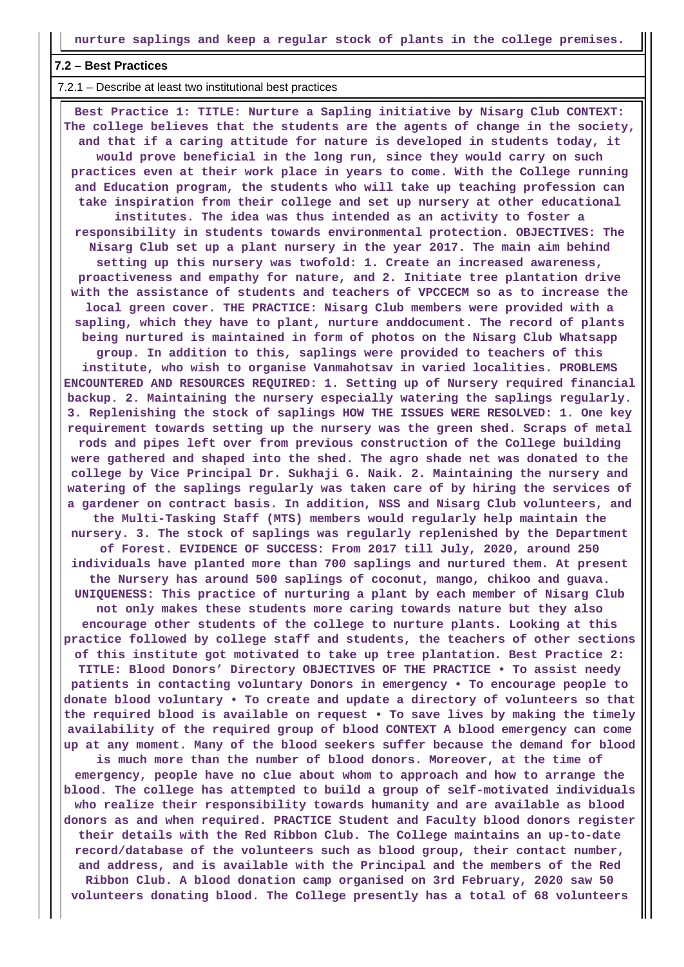### **7.2 – Best Practices**

7.2.1 – Describe at least two institutional best practices

 **Best Practice 1: TITLE: Nurture a Sapling initiative by Nisarg Club CONTEXT: The college believes that the students are the agents of change in the society, and that if a caring attitude for nature is developed in students today, it would prove beneficial in the long run, since they would carry on such practices even at their work place in years to come. With the College running and Education program, the students who will take up teaching profession can take inspiration from their college and set up nursery at other educational institutes. The idea was thus intended as an activity to foster a responsibility in students towards environmental protection. OBJECTIVES: The Nisarg Club set up a plant nursery in the year 2017. The main aim behind setting up this nursery was twofold: 1. Create an increased awareness, proactiveness and empathy for nature, and 2. Initiate tree plantation drive with the assistance of students and teachers of VPCCECM so as to increase the local green cover. THE PRACTICE: Nisarg Club members were provided with a sapling, which they have to plant, nurture anddocument. The record of plants being nurtured is maintained in form of photos on the Nisarg Club Whatsapp group. In addition to this, saplings were provided to teachers of this institute, who wish to organise Vanmahotsav in varied localities. PROBLEMS ENCOUNTERED AND RESOURCES REQUIRED: 1. Setting up of Nursery required financial backup. 2. Maintaining the nursery especially watering the saplings regularly. 3. Replenishing the stock of saplings HOW THE ISSUES WERE RESOLVED: 1. One key requirement towards setting up the nursery was the green shed. Scraps of metal rods and pipes left over from previous construction of the College building were gathered and shaped into the shed. The agro shade net was donated to the college by Vice Principal Dr. Sukhaji G. Naik. 2. Maintaining the nursery and watering of the saplings regularly was taken care of by hiring the services of a gardener on contract basis. In addition, NSS and Nisarg Club volunteers, and the Multi-Tasking Staff (MTS) members would regularly help maintain the nursery. 3. The stock of saplings was regularly replenished by the Department of Forest. EVIDENCE OF SUCCESS: From 2017 till July, 2020, around 250 individuals have planted more than 700 saplings and nurtured them. At present the Nursery has around 500 saplings of coconut, mango, chikoo and guava. UNIQUENESS: This practice of nurturing a plant by each member of Nisarg Club not only makes these students more caring towards nature but they also encourage other students of the college to nurture plants. Looking at this practice followed by college staff and students, the teachers of other sections of this institute got motivated to take up tree plantation. Best Practice 2: TITLE: Blood Donors' Directory OBJECTIVES OF THE PRACTICE • To assist needy patients in contacting voluntary Donors in emergency • To encourage people to donate blood voluntary • To create and update a directory of volunteers so that the required blood is available on request • To save lives by making the timely availability of the required group of blood CONTEXT A blood emergency can come up at any moment. Many of the blood seekers suffer because the demand for blood is much more than the number of blood donors. Moreover, at the time of emergency, people have no clue about whom to approach and how to arrange the blood. The college has attempted to build a group of self-motivated individuals who realize their responsibility towards humanity and are available as blood donors as and when required. PRACTICE Student and Faculty blood donors register their details with the Red Ribbon Club. The College maintains an up-to-date record/database of the volunteers such as blood group, their contact number, and address, and is available with the Principal and the members of the Red Ribbon Club. A blood donation camp organised on 3rd February, 2020 saw 50 volunteers donating blood. The College presently has a total of 68 volunteers**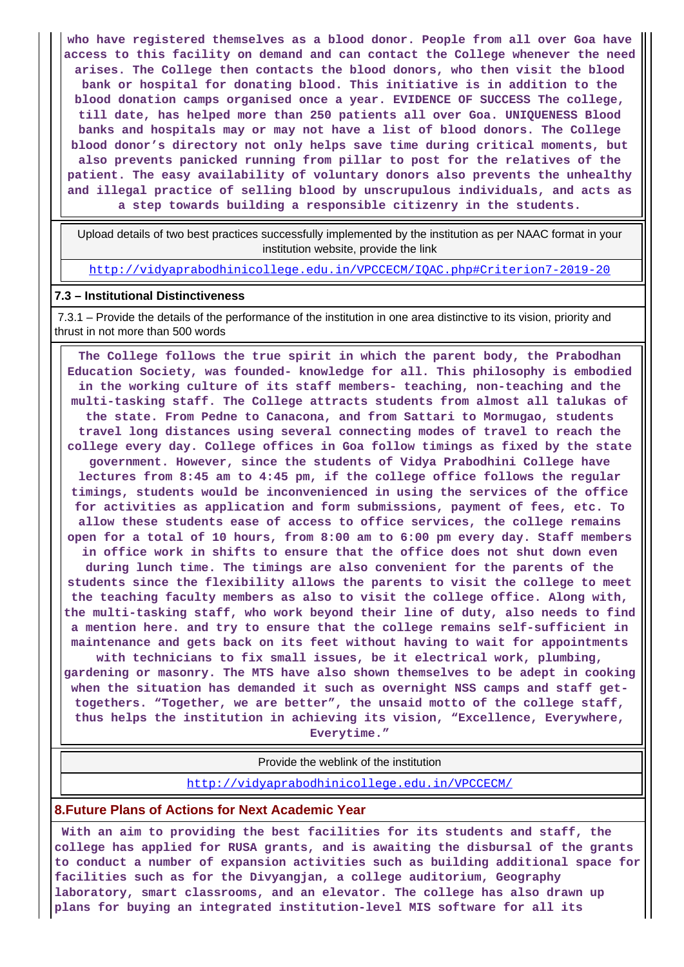**who have registered themselves as a blood donor. People from all over Goa have access to this facility on demand and can contact the College whenever the need arises. The College then contacts the blood donors, who then visit the blood bank or hospital for donating blood. This initiative is in addition to the blood donation camps organised once a year. EVIDENCE OF SUCCESS The college, till date, has helped more than 250 patients all over Goa. UNIQUENESS Blood banks and hospitals may or may not have a list of blood donors. The College blood donor's directory not only helps save time during critical moments, but also prevents panicked running from pillar to post for the relatives of the patient. The easy availability of voluntary donors also prevents the unhealthy and illegal practice of selling blood by unscrupulous individuals, and acts as a step towards building a responsible citizenry in the students.**

 Upload details of two best practices successfully implemented by the institution as per NAAC format in your institution website, provide the link

<http://vidyaprabodhinicollege.edu.in/VPCCECM/IQAC.php#Criterion7-2019-20>

### **7.3 – Institutional Distinctiveness**

 7.3.1 – Provide the details of the performance of the institution in one area distinctive to its vision, priority and thrust in not more than 500 words

 **The College follows the true spirit in which the parent body, the Prabodhan Education Society, was founded- knowledge for all. This philosophy is embodied in the working culture of its staff members- teaching, non-teaching and the multi-tasking staff. The College attracts students from almost all talukas of the state. From Pedne to Canacona, and from Sattari to Mormugao, students travel long distances using several connecting modes of travel to reach the college every day. College offices in Goa follow timings as fixed by the state government. However, since the students of Vidya Prabodhini College have lectures from 8:45 am to 4:45 pm, if the college office follows the regular timings, students would be inconvenienced in using the services of the office for activities as application and form submissions, payment of fees, etc. To allow these students ease of access to office services, the college remains open for a total of 10 hours, from 8:00 am to 6:00 pm every day. Staff members in office work in shifts to ensure that the office does not shut down even during lunch time. The timings are also convenient for the parents of the students since the flexibility allows the parents to visit the college to meet the teaching faculty members as also to visit the college office. Along with, the multi-tasking staff, who work beyond their line of duty, also needs to find a mention here. and try to ensure that the college remains self-sufficient in maintenance and gets back on its feet without having to wait for appointments**

**with technicians to fix small issues, be it electrical work, plumbing, gardening or masonry. The MTS have also shown themselves to be adept in cooking when the situation has demanded it such as overnight NSS camps and staff gettogethers. "Together, we are better", the unsaid motto of the college staff, thus helps the institution in achieving its vision, "Excellence, Everywhere, Everytime."**

Provide the weblink of the institution

<http://vidyaprabodhinicollege.edu.in/VPCCECM/>

## **8.Future Plans of Actions for Next Academic Year**

 **With an aim to providing the best facilities for its students and staff, the college has applied for RUSA grants, and is awaiting the disbursal of the grants to conduct a number of expansion activities such as building additional space for facilities such as for the Divyangjan, a college auditorium, Geography laboratory, smart classrooms, and an elevator. The college has also drawn up plans for buying an integrated institution-level MIS software for all its**